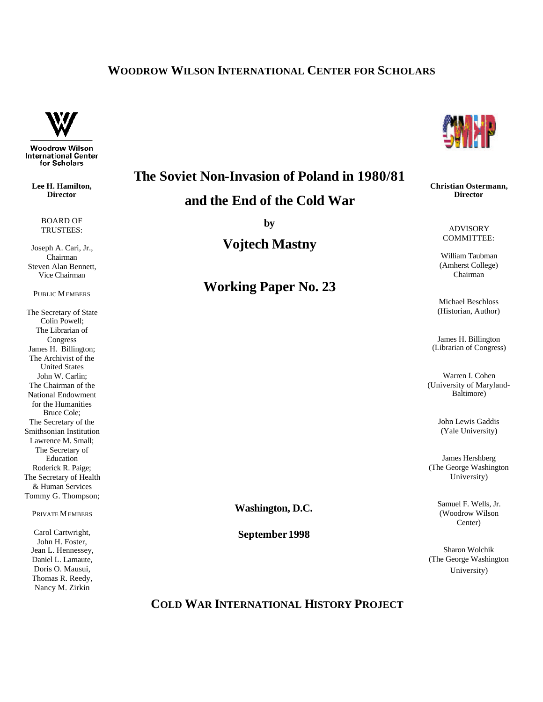# **WOODROW WILSON INTERNATIONAL CENTER FOR SCHOLARS**



**Woodrow Wilson International Center** for Scholars

**Lee H. Hamilton, Director**

> BOARD OF TRUSTEES:

Joseph A. Cari, Jr., Chairman Steven Alan Bennett, Vice Chairman

#### PUBLIC MEMBERS

The Secretary of State Colin Powell; The Librarian of Congress James H. Billington; The Archivist of the United States John W. Carlin; The Chairman of the National Endowment for the Humanities Bruce Cole; The Secretary of the Smithsonian Institution Lawrence M. Small; The Secretary of Education Roderick R. Paige; The Secretary of Health & Human Services Tommy G. Thompson;

#### PRIVATE **MEMBERS**

Carol Cartwright, John H. Foster, Jean L. Hennessey, Daniel L. Lamaute, Doris O. Mausui, Thomas R. Reedy, Nancy M. Zirkin

# **The Soviet Non-Invasion of Poland in 1980/81**

# **and the End of the Cold War**

**by** 

**Vojtech Mastny**

## **Working Paper No. 23**



**Christian Ostermann, Director**

> ADVISORY COMMITTEE:

William Taubman (Amherst College) Chairman

Michael Beschloss (Historian, Author)

James H. Billington (Librarian of Congress)

Warren I. Cohen (University of Maryland-Baltimore)

> John Lewis Gaddis (Yale University)

James Hershberg (The George Washington University)

> Samuel F. Wells, Jr. (Woodrow Wilson Center)

Sharon Wolchik (The George Washington University)

### **COLD WAR INTERNATIONAL HISTORY PROJECT**

**Washington, D.C.**

**September 1998**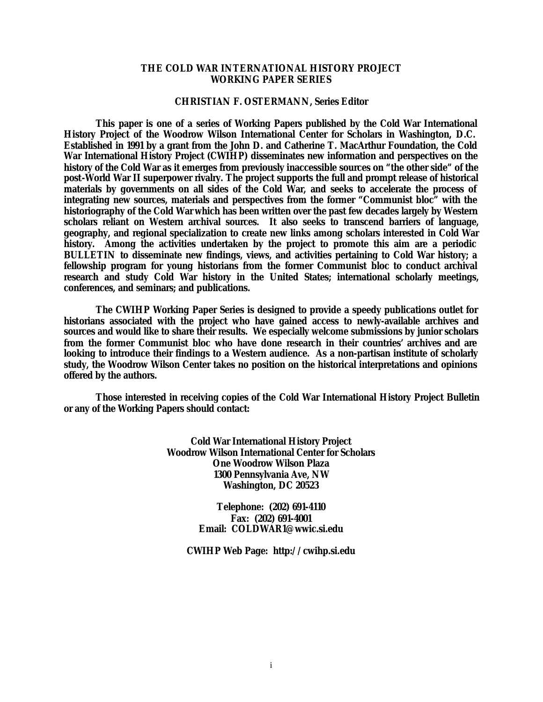#### **THE COLD WAR INTERNATIONAL HISTORY PROJECT WORKING PAPER SERIES**

#### **CHRISTIAN F. OSTERMANN, Series Editor**

**This paper is one of a series of Working Papers published by the Cold War International History Project of the Woodrow Wilson International Center for Scholars in Washington, D.C. Established in 1991 by a grant from the John D. and Catherine T. MacArthur Foundation, the Cold War International History Project (CWIHP) disseminates new information and perspectives on the history of the Cold War as it emerges from previously inaccessible sources on "the other side" of the post-World War II superpower rivalry. The project supports the full and prompt release of historical materials by governments on all sides of the Cold War, and seeks to accelerate the process of integrating new sources, materials and perspectives from the former "Communist bloc" with the historiography of the Cold War which has been written over the past few decades largely by Western scholars reliant on Western archival sources. It also seeks to transcend barriers of language, geography, and regional specialization to create new links among scholars interested in Cold War history. Among the activities undertaken by the project to promote this aim are a periodic**  *BULLETIN* **to disseminate new findings, views, and activities pertaining to Cold War history; a fellowship program for young historians from the former Communist bloc to conduct archival research and study Cold War history in the United States; international scholarly meetings, conferences, and seminars; and publications.**

**The** *CWIHP Working Paper Series* **is designed to provide a speedy publications outlet for historians associated with the project who have gained access to newly-available archives and sources and would like to share their results. We especially welcome submissions by junior scholars from the former Communist bloc who have done research in their countries' archives and are looking to introduce their findings to a Western audience. As a non-partisan institute of scholarly study, the Woodrow Wilson Center takes no position on the historical interpretations and opinions offered by the authors.**

**Those interested in receiving copies of the** *Cold War International History Project Bulletin* **or any of the Working Papers should contact:**

> **Cold War International History Project Woodrow Wilson International Center for Scholars One Woodrow Wilson Plaza 1300 Pennsylvania Ave, NW Washington, DC 20523**

> > **Telephone: (202) 691-4110 Fax: (202) 691-4001 Email: COLDWAR1@wwic.si.edu**

**CWIHP Web Page: http://cwihp.si.edu**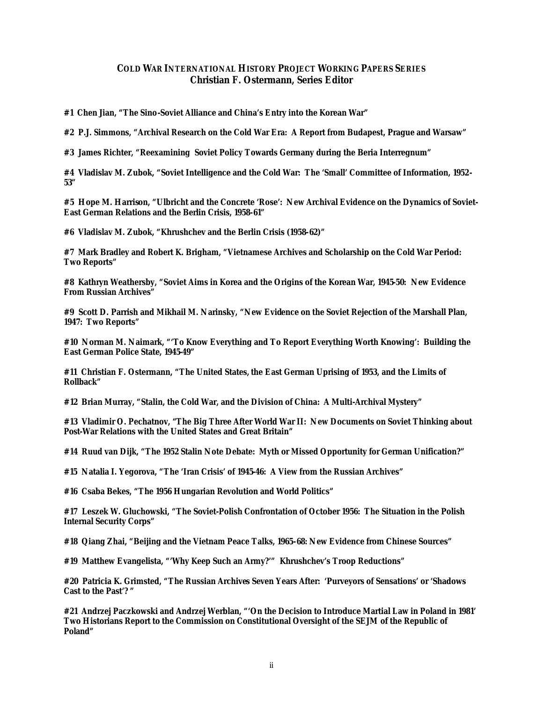#### **COLD WAR INTERNATIONAL HISTORY PROJECT WORKING PAPERS SERIES Christian F. Ostermann, Series Editor**

**#1 Chen Jian, "The Sino-Soviet Alliance and China's Entry into the Korean War"**

**#2 P.J. Simmons, "Archival Research on the Cold War Era: A Report from Budapest, Prague and Warsaw"**

**#3 James Richter, "Reexamining Soviet Policy Towards Germany during the Beria Interregnum"**

**#4 Vladislav M. Zubok, "Soviet Intelligence and the Cold War: The 'Small' Committee of Information, 1952- 53"**

**#5 Hope M. Harrison, "Ulbricht and the Concrete 'Rose': New Archival Evidence on the Dynamics of Soviet-East German Relations and the Berlin Crisis, 1958-61"**

**#6 Vladislav M. Zubok, "Khrushchev and the Berlin Crisis (1958-62)"**

**#7 Mark Bradley and Robert K. Brigham, "Vietnamese Archives and Scholarship on the Cold War Period: Two Reports"**

**#8 Kathryn Weathersby, "Soviet Aims in Korea and the Origins of the Korean War, 1945-50: New Evidence From Russian Archives"**

**#9 Scott D. Parrish and Mikhail M. Narinsky, "New Evidence on the Soviet Rejection of the Marshall Plan, 1947: Two Reports"**

**#10 Norman M. Naimark, "'To Know Everything and To Report Everything Worth Knowing': Building the East German Police State, 1945-49"**

**#11 Christian F. Ostermann, "The United States, the East German Uprising of 1953, and the Limits of Rollback"**

**#12 Brian Murray, "Stalin, the Cold War, and the Division of China: A Multi-Archival Mystery"**

**#13 Vladimir O. Pechatnov, "The Big Three After World War II: New Documents on Soviet Thinking about Post-War Relations with the United States and Great Britain"**

**#14 Ruud van Dijk, "The 1952 Stalin Note Debate: Myth or Missed Opportunity for German Unification?"**

**#15 Natalia I. Yegorova, "The 'Iran Crisis' of 1945-46: A View from the Russian Archives"**

**#16 Csaba Bekes, "The 1956 Hungarian Revolution and World Politics"**

**#17 Leszek W. Gluchowski, "The Soviet-Polish Confrontation of October 1956: The Situation in the Polish Internal Security Corps"**

**#18 Qiang Zhai, "Beijing and the Vietnam Peace Talks, 1965-68: New Evidence from Chinese Sources"**

**#19 Matthew Evangelista, "'Why Keep Such an Army?'" Khrushchev's Troop Reductions"**

**#20 Patricia K. Grimsted, "The Russian Archives Seven Years After: 'Purveyors of Sensations' or 'Shadows Cast to the Past'? "**

**#21 Andrzej Paczkowski and Andrzej Werblan, "'On the Decision to Introduce Martial Law in Poland in 1981' Two Historians Report to the Commission on Constitutional Oversight of the** *SEJM* **of the Republic of Poland"**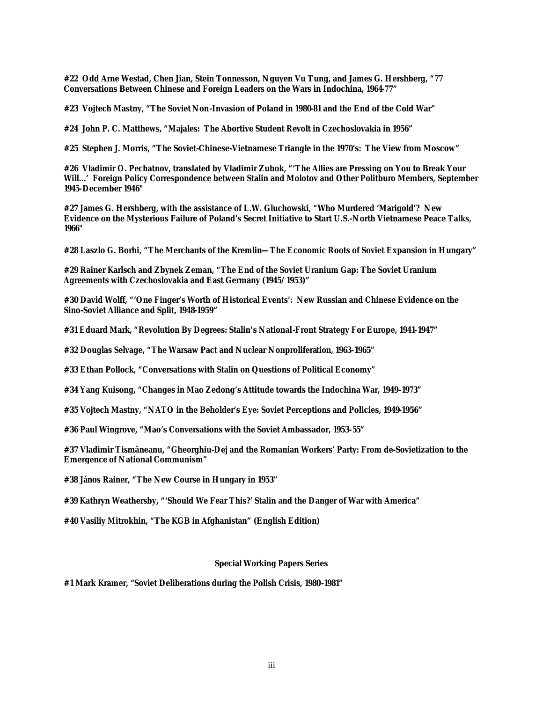**#22 Odd Arne Westad, Chen Jian, Stein Tonnesson, Nguyen Vu Tung, and James G. Hershberg, "77 Conversations Between Chinese and Foreign Leaders on the Wars in Indochina, 1964-77"** 

**#23 Vojtech Mastny, "The Soviet Non-Invasion of Poland in 1980-81 and the End of the Cold War"**

**#24 John P. C. Matthews, "Majales: The Abortive Student Revolt in Czechoslovakia in 1956"**

**#25 Stephen J. Morris, "The Soviet-Chinese-Vietnamese Triangle in the 1970's: The View from Moscow"**

**#26 Vladimir O. Pechatnov, translated by Vladimir Zubok, "'The Allies are Pressing on You to Break Your Will...' Foreign Policy Correspondence between Stalin and Molotov and Other Politburo Members, September 1945-December 1946"**

**#27 James G. Hershberg, with the assistance of L.W. Gluchowski, "Who Murdered 'Marigold'? New Evidence on the Mysterious Failure of Poland's Secret Initiative to Start U.S.-North Vietnamese Peace Talks, 1966"**

**#28 Laszlo G. Borhi, "The Merchants of the Kremlin—The Economic Roots of Soviet Expansion in Hungary"**

**#29 Rainer Karlsch and Zbynek Zeman, "The End of the Soviet Uranium Gap: The Soviet Uranium Agreements with Czechoslovakia and East Germany (1945/1953)"**

**#30 David Wolff, "'One Finger's Worth of Historical Events': New Russian and Chinese Evidence on the Sino-Soviet Alliance and Split, 1948-1959"**

**#31 Eduard Mark, "Revolution By Degrees: Stalin's National-Front Strategy For Europe, 1941-1947"**

**#32 Douglas Selvage, "The Warsaw Pact and Nuclear Nonproliferation, 1963-1965"**

**#33 Ethan Pollock, "Conversations with Stalin on Questions of Political Economy"**

**#34 Yang Kuisong, "Changes in Mao Zedong's Attitude towards the Indochina War, 1949-1973"**

**#35 Vojtech Mastny, "NATO in the Beholder's Eye: Soviet Perceptions and Policies, 1949-1956"**

**#36 Paul Wingrove, "Mao's Conversations with the Soviet Ambassador, 1953-55"**

**#37 Vladimir Tismãneanu, "Gheorghiu-Dej and the Romanian Workers' Party: From de-Sovietization to the Emergence of National Communism"**

**#38 János Rainer, "The New Course in Hungary in 1953"**

**#39 Kathryn Weathersby, "'Should We Fear This?' Stalin and the Danger of War with America"**

**#40 Vasiliy Mitrokhin, "The KGB in Afghanistan" (English Edition)**

#### **Special Working Papers Series**

**#1 Mark Kramer, "Soviet Deliberations during the Polish Crisis, 1980-1981"**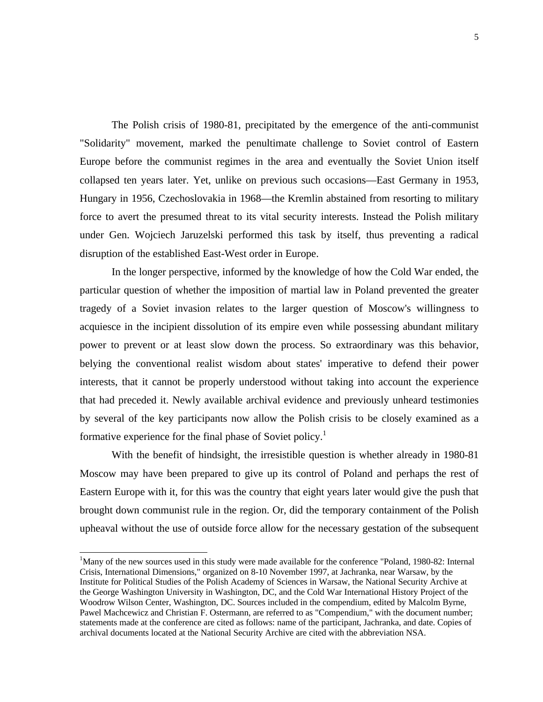The Polish crisis of 1980-81, precipitated by the emergence of the anti-communist "Solidarity" movement, marked the penultimate challenge to Soviet control of Eastern Europe before the communist regimes in the area and eventually the Soviet Union itself collapsed ten years later. Yet, unlike on previous such occasions—East Germany in 1953, Hungary in 1956, Czechoslovakia in 1968—the Kremlin abstained from resorting to military force to avert the presumed threat to its vital security interests. Instead the Polish military under Gen. Wojciech Jaruzelski performed this task by itself, thus preventing a radical disruption of the established East-West order in Europe.

In the longer perspective, informed by the knowledge of how the Cold War ended, the particular question of whether the imposition of martial law in Poland prevented the greater tragedy of a Soviet invasion relates to the larger question of Moscow's willingness to acquiesce in the incipient dissolution of its empire even while possessing abundant military power to prevent or at least slow down the process. So extraordinary was this behavior, belying the conventional realist wisdom about states' imperative to defend their power interests, that it cannot be properly understood without taking into account the experience that had preceded it. Newly available archival evidence and previously unheard testimonies by several of the key participants now allow the Polish crisis to be closely examined as a formative experience for the final phase of Soviet policy.<sup>1</sup>

With the benefit of hindsight, the irresistible question is whether already in 1980-81 Moscow may have been prepared to give up its control of Poland and perhaps the rest of Eastern Europe with it, for this was the country that eight years later would give the push that brought down communist rule in the region. Or, did the temporary containment of the Polish upheaval without the use of outside force allow for the necessary gestation of the subsequent

<sup>&</sup>lt;sup>1</sup>Many of the new sources used in this study were made available for the conference "Poland, 1980-82: Internal Crisis, International Dimensions," organized on 8-10 November 1997, at Jachranka, near Warsaw, by the Institute for Political Studies of the Polish Academy of Sciences in Warsaw, the National Security Archive at the George Washington University in Washington, DC, and the Cold War International History Project of the Woodrow Wilson Center, Washington, DC. Sources included in the compendium, edited by Malcolm Byrne, Pawel Machcewicz and Christian F. Ostermann, are referred to as "Compendium," with the document number; statements made at the conference are cited as follows: name of the participant, Jachranka, and date. Copies of archival documents located at the National Security Archive are cited with the abbreviation NSA.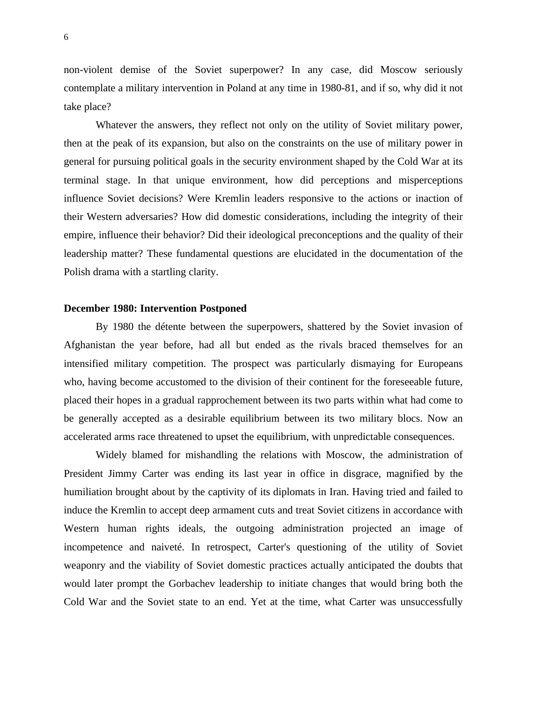non-violent demise of the Soviet superpower? In any case, did Moscow seriously contemplate a military intervention in Poland at any time in 1980-81, and if so, why did it not take place?

Whatever the answers, they reflect not only on the utility of Soviet military power, then at the peak of its expansion, but also on the constraints on the use of military power in general for pursuing political goals in the security environment shaped by the Cold War at its terminal stage. In that unique environment, how did perceptions and misperceptions influence Soviet decisions? Were Kremlin leaders responsive to the actions or inaction of their Western adversaries? How did domestic considerations, including the integrity of their empire, influence their behavior? Did their ideological preconceptions and the quality of their leadership matter? These fundamental questions are elucidated in the documentation of the Polish drama with a startling clarity.

#### **December 1980: Intervention Postponed**

By 1980 the détente between the superpowers, shattered by the Soviet invasion of Afghanistan the year before, had all but ended as the rivals braced themselves for an intensified military competition. The prospect was particularly dismaying for Europeans who, having become accustomed to the division of their continent for the foreseeable future, placed their hopes in a gradual rapprochement between its two parts within what had come to be generally accepted as a desirable equilibrium between its two military blocs. Now an accelerated arms race threatened to upset the equilibrium, with unpredictable consequences.

Widely blamed for mishandling the relations with Moscow, the administration of President Jimmy Carter was ending its last year in office in disgrace, magnified by the humiliation brought about by the captivity of its diplomats in Iran. Having tried and failed to induce the Kremlin to accept deep armament cuts and treat Soviet citizens in accordance with Western human rights ideals, the outgoing administration projected an image of incompetence and naiveté. In retrospect, Carter's questioning of the utility of Soviet weaponry and the viability of Soviet domestic practices actually anticipated the doubts that would later prompt the Gorbachev leadership to initiate changes that would bring both the Cold War and the Soviet state to an end. Yet at the time, what Carter was unsuccessfully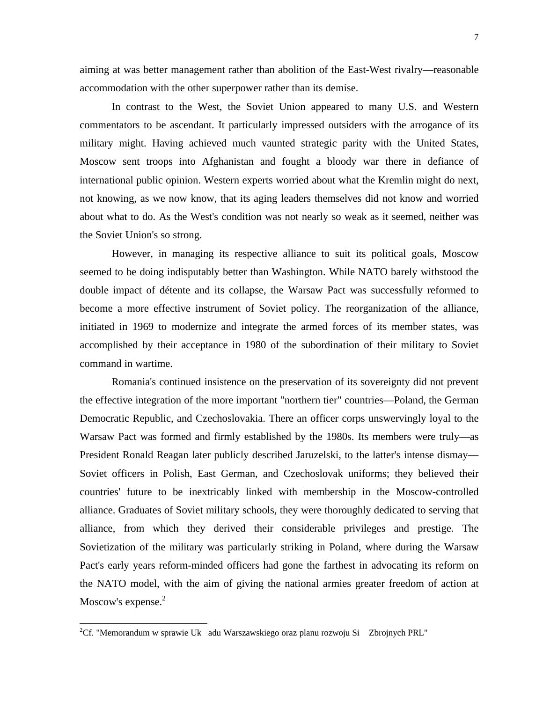aiming at was better management rather than abolition of the East-West rivalry—reasonable accommodation with the other superpower rather than its demise.

In contrast to the West, the Soviet Union appeared to many U.S. and Western commentators to be ascendant. It particularly impressed outsiders with the arrogance of its military might. Having achieved much vaunted strategic parity with the United States, Moscow sent troops into Afghanistan and fought a bloody war there in defiance of international public opinion. Western experts worried about what the Kremlin might do next, not knowing, as we now know, that its aging leaders themselves did not know and worried about what to do. As the West's condition was not nearly so weak as it seemed, neither was the Soviet Union's so strong.

However, in managing its respective alliance to suit its political goals, Moscow seemed to be doing indisputably better than Washington. While NATO barely withstood the double impact of détente and its collapse, the Warsaw Pact was successfully reformed to become a more effective instrument of Soviet policy. The reorganization of the alliance, initiated in 1969 to modernize and integrate the armed forces of its member states, was accomplished by their acceptance in 1980 of the subordination of their military to Soviet command in wartime.

Romania's continued insistence on the preservation of its sovereignty did not prevent the effective integration of the more important "northern tier" countries—Poland, the German Democratic Republic, and Czechoslovakia. There an officer corps unswervingly loyal to the Warsaw Pact was formed and firmly established by the 1980s. Its members were truly—as President Ronald Reagan later publicly described Jaruzelski, to the latter's intense dismay— Soviet officers in Polish, East German, and Czechoslovak uniforms; they believed their countries' future to be inextricably linked with membership in the Moscow-controlled alliance. Graduates of Soviet military schools, they were thoroughly dedicated to serving that alliance, from which they derived their considerable privileges and prestige. The Sovietization of the military was particularly striking in Poland, where during the Warsaw Pact's early years reform-minded officers had gone the farthest in advocating its reform on the NATO model, with the aim of giving the national armies greater freedom of action at Moscow's expense. $2$ 

 ${}^{2}Cf$ . "Memorandum w sprawie Ukadu Warszawskiego oraz planu rozwoju Si Zbrojnych PRL"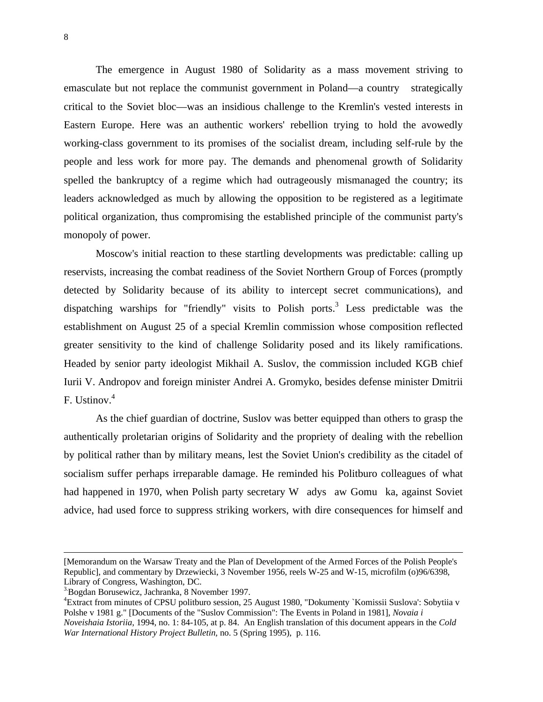The emergence in August 1980 of Solidarity as a mass movement striving to emasculate but not replace the communist government in Poland—a country strategically critical to the Soviet bloc—was an insidious challenge to the Kremlin's vested interests in Eastern Europe. Here was an authentic workers' rebellion trying to hold the avowedly working-class government to its promises of the socialist dream, including self-rule by the people and less work for more pay. The demands and phenomenal growth of Solidarity spelled the bankruptcy of a regime which had outrageously mismanaged the country; its leaders acknowledged as much by allowing the opposition to be registered as a legitimate political organization, thus compromising the established principle of the communist party's monopoly of power.

Moscow's initial reaction to these startling developments was predictable: calling up reservists, increasing the combat readiness of the Soviet Northern Group of Forces (promptly detected by Solidarity because of its ability to intercept secret communications), and dispatching warships for "friendly" visits to Polish ports.<sup>3</sup> Less predictable was the establishment on August 25 of a special Kremlin commission whose composition reflected greater sensitivity to the kind of challenge Solidarity posed and its likely ramifications. Headed by senior party ideologist Mikhail A. Suslov, the commission included KGB chief Iurii V. Andropov and foreign minister Andrei A. Gromyko, besides defense minister Dmitrii F. Ustinov.<sup>4</sup>

As the chief guardian of doctrine, Suslov was better equipped than others to grasp the authentically proletarian origins of Solidarity and the propriety of dealing with the rebellion by political rather than by military means, lest the Soviet Union's credibility as the citadel of socialism suffer perhaps irreparable damage. He reminded his Politburo colleagues of what had happened in 1970, when Polish party secretary W adys aw Gomuka, against Soviet advice, had used force to suppress striking workers, with dire consequences for himself and

<sup>[</sup>Memorandum on the Warsaw Treaty and the Plan of Development of the Armed Forces of the Polish People's Republic], and commentary by Drzewiecki, 3 November 1956, reels W-25 and W-15, microfilm (o)96/6398, Library of Congress, Washington, DC.

<sup>3.</sup>Bogdan Borusewicz, Jachranka, 8 November 1997.

<sup>4</sup>Extract from minutes of CPSU politburo session, 25 August 1980, "Dokumenty `Komissii Suslova': Sobytiia v Polshe v 1981 g." [Documents of the "Suslov Commission": The Events in Poland in 1981], *Novaia i Noveishaia Istoriia*, 1994, no. 1: 84-105, at p. 84. An English translation of this document appears in the *Cold War International History Project Bulletin,* no. 5 (Spring 1995), p. 116.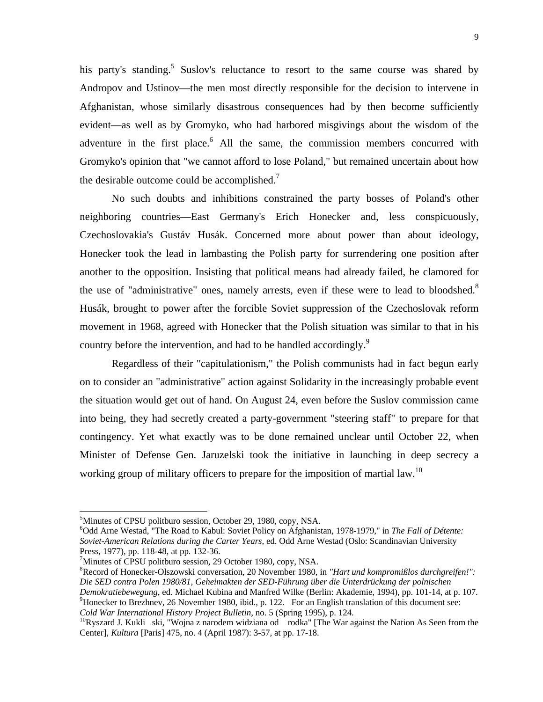his party's standing.<sup>5</sup> Suslov's reluctance to resort to the same course was shared by Andropov and Ustinov—the men most directly responsible for the decision to intervene in Afghanistan, whose similarly disastrous consequences had by then become sufficiently evident—as well as by Gromyko, who had harbored misgivings about the wisdom of the adventure in the first place.<sup>6</sup> All the same, the commission members concurred with Gromyko's opinion that "we cannot afford to lose Poland," but remained uncertain about how the desirable outcome could be accomplished.<sup>7</sup>

No such doubts and inhibitions constrained the party bosses of Poland's other neighboring countries—East Germany's Erich Honecker and, less conspicuously, Czechoslovakia's Gustáv Husák. Concerned more about power than about ideology, Honecker took the lead in lambasting the Polish party for surrendering one position after another to the opposition. Insisting that political means had already failed, he clamored for the use of "administrative" ones, namely arrests, even if these were to lead to bloodshed.<sup>8</sup> Husák, brought to power after the forcible Soviet suppression of the Czechoslovak reform movement in 1968, agreed with Honecker that the Polish situation was similar to that in his country before the intervention, and had to be handled accordingly.<sup>9</sup>

Regardless of their "capitulationism," the Polish communists had in fact begun early on to consider an "administrative" action against Solidarity in the increasingly probable event the situation would get out of hand. On August 24, even before the Suslov commission came into being, they had secretly created a party-government "steering staff" to prepare for that contingency. Yet what exactly was to be done remained unclear until October 22, when Minister of Defense Gen. Jaruzelski took the initiative in launching in deep secrecy a working group of military officers to prepare for the imposition of martial law.<sup>10</sup>

<sup>&</sup>lt;sup>5</sup>Minutes of CPSU politburo session, October 29, 1980, copy, NSA.

<sup>6</sup>Odd Arne Westad, "The Road to Kabul: Soviet Policy on Afghanistan, 1978-1979," in *The Fall of Détente: Soviet-American Relations during the Carter Years*, ed. Odd Arne Westad (Oslo: Scandinavian University Press, 1977), pp. 118-48, at pp. 132-36.

<sup>7</sup>Minutes of CPSU politburo session, 29 October 1980, copy, NSA.

<sup>8</sup>Record of Honecker-Olszowski conversation, 20 November 1980, in *"Hart und kompromißlos durchgreifen!": Die SED contra Polen 1980/81, Geheimakten der SED-Führung über die Unterdrückung der polnischen Demokratiebewegung*, ed. Michael Kubina and Manfred Wilke (Berlin: Akademie, 1994), pp. 101-14, at p. 107. <sup>9</sup>Honecker to Brezhnev, 26 November 1980, ibid., p. 122. For an English translation of this document see: *Cold War International History Project Bulletin*, no. 5 (Spring 1995), p. 124.

<sup>&</sup>lt;sup>10</sup>Ryszard J. Kukli ski, " Wojna z narodem widziana od rodka" [The War against the Nation As Seen from the Center], *Kultura* [Paris] 475, no. 4 (April 1987): 3-57, at pp. 17-18.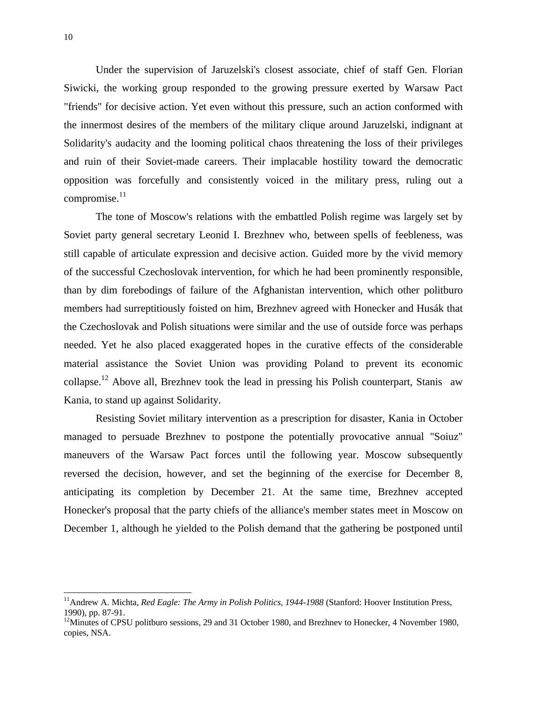Under the supervision of Jaruzelski's closest associate, chief of staff Gen. Florian Siwicki, the working group responded to the growing pressure exerted by Warsaw Pact "friends" for decisive action. Yet even without this pressure, such an action conformed with the innermost desires of the members of the military clique around Jaruzelski, indignant at Solidarity's audacity and the looming political chaos threatening the loss of their privileges and ruin of their Soviet-made careers. Their implacable hostility toward the democratic opposition was forcefully and consistently voiced in the military press, ruling out a compromise.<sup>11</sup>

The tone of Moscow's relations with the embattled Polish regime was largely set by Soviet party general secretary Leonid I. Brezhnev who, between spells of feebleness, was still capable of articulate expression and decisive action. Guided more by the vivid memory of the successful Czechoslovak intervention, for which he had been prominently responsible, than by dim forebodings of failure of the Afghanistan intervention, which other politburo members had surreptitiously foisted on him, Brezhnev agreed with Honecker and Husák that the Czechoslovak and Polish situations were similar and the use of outside force was perhaps needed. Yet he also placed exaggerated hopes in the curative effects of the considerable material assistance the Soviet Union was providing Poland to prevent its economic collapse.<sup>12</sup> Above all, Brezhnev took the lead in pressing his Polish counterpart, Stanis aw Kania, to stand up against Solidarity.

Resisting Soviet military intervention as a prescription for disaster, Kania in October managed to persuade Brezhnev to postpone the potentially provocative annual "Soiuz" maneuvers of the Warsaw Pact forces until the following year. Moscow subsequently reversed the decision, however, and set the beginning of the exercise for December 8, anticipating its completion by December 21. At the same time, Brezhnev accepted Honecker's proposal that the party chiefs of the alliance's member states meet in Moscow on December 1, although he yielded to the Polish demand that the gathering be postponed until

<sup>&</sup>lt;sup>11</sup>Andrew A. Michta, *Red Eagle: The Army in Polish Politics, 1944-1988* (Stanford: Hoover Institution Press, 1990), pp. 87-91.

<sup>&</sup>lt;sup>12</sup>Minutes of CPSU politburo sessions, 29 and 31 October 1980, and Brezhnev to Honecker, 4 November 1980, copies, NSA.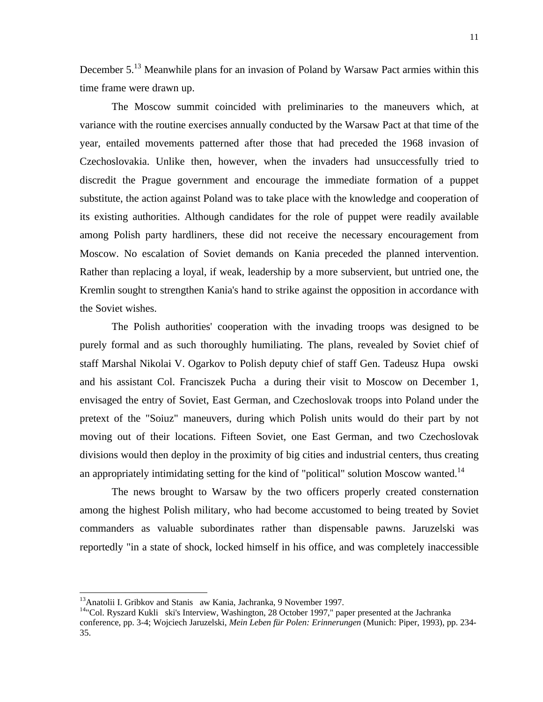December 5.<sup>13</sup> Meanwhile plans for an invasion of Poland by Warsaw Pact armies within this time frame were drawn up.

The Moscow summit coincided with preliminaries to the maneuvers which, at variance with the routine exercises annually conducted by the Warsaw Pact at that time of the year, entailed movements patterned after those that had preceded the 1968 invasion of Czechoslovakia. Unlike then, however, when the invaders had unsuccessfully tried to discredit the Prague government and encourage the immediate formation of a puppet substitute, the action against Poland was to take place with the knowledge and cooperation of its existing authorities. Although candidates for the role of puppet were readily available among Polish party hardliners, these did not receive the necessary encouragement from Moscow. No escalation of Soviet demands on Kania preceded the planned intervention. Rather than replacing a loyal, if weak, leadership by a more subservient, but untried one, the Kremlin sought to strengthen Kania's hand to strike against the opposition in accordance with the Soviet wishes.

The Polish authorities' cooperation with the invading troops was designed to be purely formal and as such thoroughly humiliating. The plans, revealed by Soviet chief of staff Marshal Nikolai V. Ogarkov to Polish deputy chief of staff Gen. Tadeusz Hupa owski and his assistant Col. Franciszek Puchaa during their visit to Moscow on December 1, envisaged the entry of Soviet, East German, and Czechoslovak troops into Poland under the pretext of the "Soiuz" maneuvers, during which Polish units would do their part by not moving out of their locations. Fifteen Soviet, one East German, and two Czechoslovak divisions would then deploy in the proximity of big cities and industrial centers, thus creating an appropriately intimidating setting for the kind of "political" solution Moscow wanted.<sup>14</sup>

The news brought to Warsaw by the two officers properly created consternation among the highest Polish military, who had become accustomed to being treated by Soviet commanders as valuable subordinates rather than dispensable pawns. Jaruzelski was reportedly "in a state of shock, locked himself in his office, and was completely inaccessible

<sup>&</sup>lt;sup>13</sup>Anatolii I. Gribkov and Stanis aw Kania, Jachranka, 9 November 1997.

<sup>&</sup>lt;sup>14</sup>"Col. Ryszard Kukli ski's Interview, Washington, 28 October 1997," paper presented at the Jachranka conference, pp. 3-4; Wojciech Jaruzelski, *Mein Leben für Polen: Erinnerungen* (Munich: Piper, 1993), pp. 234- 35.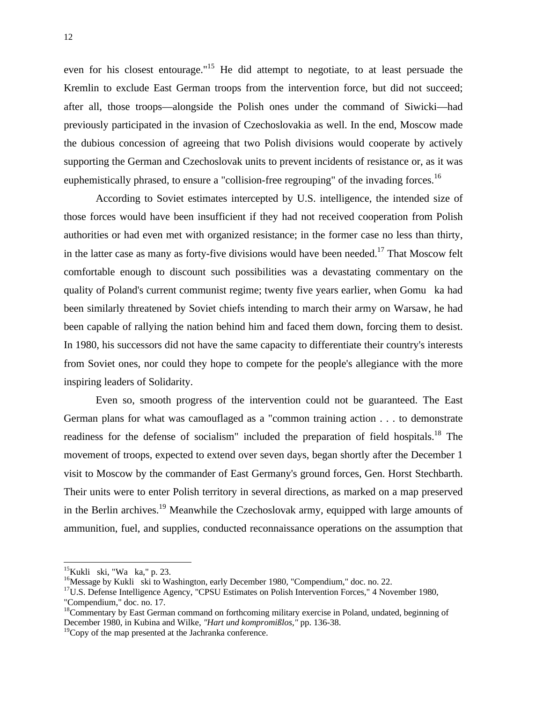even for his closest entourage."<sup>15</sup> He did attempt to negotiate, to at least persuade the Kremlin to exclude East German troops from the intervention force, but did not succeed; after all, those troops—alongside the Polish ones under the command of Siwicki—had previously participated in the invasion of Czechoslovakia as well. In the end, Moscow made the dubious concession of agreeing that two Polish divisions would cooperate by actively supporting the German and Czechoslovak units to prevent incidents of resistance or, as it was euphemistically phrased, to ensure a "collision-free regrouping" of the invading forces.<sup>16</sup>

According to Soviet estimates intercepted by U.S. intelligence, the intended size of those forces would have been insufficient if they had not received cooperation from Polish authorities or had even met with organized resistance; in the former case no less than thirty, in the latter case as many as forty-five divisions would have been needed.<sup>17</sup> That Moscow felt comfortable enough to discount such possibilities was a devastating commentary on the quality of Poland's current communist regime; twenty five years earlier, when Gomuka had been similarly threatened by Soviet chiefs intending to march their army on Warsaw, he had been capable of rallying the nation behind him and faced them down, forcing them to desist. In 1980, his successors did not have the same capacity to differentiate their country's interests from Soviet ones, nor could they hope to compete for the people's allegiance with the more inspiring leaders of Solidarity.

Even so, smooth progress of the intervention could not be guaranteed. The East German plans for what was camouflaged as a "common training action . . . to demonstrate readiness for the defense of socialism" included the preparation of field hospitals.<sup>18</sup> The movement of troops, expected to extend over seven days, began shortly after the December 1 visit to Moscow by the commander of East Germany's ground forces, Gen. Horst Stechbarth. Their units were to enter Polish territory in several directions, as marked on a map preserved in the Berlin archives.<sup>19</sup> Meanwhile the Czechoslovak army, equipped with large amounts of ammunition, fuel, and supplies, conducted reconnaissance operations on the assumption that

 $15$ Kukliski, "Waka," p. 23.

<sup>&</sup>lt;sup>16</sup>Message by Kukli ski to Washington, early December 1980, "Compendium," doc. no. 22.

<sup>&</sup>lt;sup>17</sup>U.S. Defense Intelligence Agency, "CPSU Estimates on Polish Intervention Forces," 4 November 1980, "Compendium," doc. no. 17.

<sup>&</sup>lt;sup>18</sup>Commentary by East German command on forthcoming military exercise in Poland, undated, beginning of December 1980, in Kubina and Wilke, *"Hart und kompromißlos,"* pp. 136-38.

<sup>&</sup>lt;sup>19</sup>Copy of the map presented at the Jachranka conference.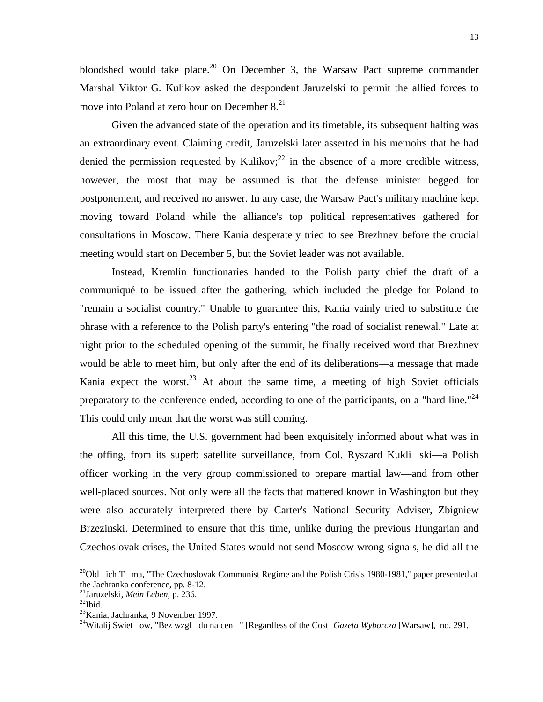bloodshed would take place.<sup>20</sup> On December 3, the Warsaw Pact supreme commander Marshal Viktor G. Kulikov asked the despondent Jaruzelski to permit the allied forces to move into Poland at zero hour on December 8.<sup>21</sup>

Given the advanced state of the operation and its timetable, its subsequent halting was an extraordinary event. Claiming credit, Jaruzelski later asserted in his memoirs that he had denied the permission requested by Kulikov; $^{22}$  in the absence of a more credible witness, however, the most that may be assumed is that the defense minister begged for postponement, and received no answer. In any case, the Warsaw Pact's military machine kept moving toward Poland while the alliance's top political representatives gathered for consultations in Moscow. There Kania desperately tried to see Brezhnev before the crucial meeting would start on December 5, but the Soviet leader was not available.

Instead, Kremlin functionaries handed to the Polish party chief the draft of a communiqué to be issued after the gathering, which included the pledge for Poland to "remain a socialist country." Unable to guarantee this, Kania vainly tried to substitute the phrase with a reference to the Polish party's entering "the road of socialist renewal." Late at night prior to the scheduled opening of the summit, he finally received word that Brezhnev would be able to meet him, but only after the end of its deliberations—a message that made Kania expect the worst.<sup>23</sup> At about the same time, a meeting of high Soviet officials preparatory to the conference ended, according to one of the participants, on a "hard line."<sup>24</sup> This could only mean that the worst was still coming.

All this time, the U.S. government had been exquisitely informed about what was in the offing, from its superb satellite surveillance, from Col. Ryszard Kukliski—a Polish officer working in the very group commissioned to prepare martial law—and from other well-placed sources. Not only were all the facts that mattered known in Washington but they were also accurately interpreted there by Carter's National Security Adviser, Zbigniew Brzezinski. Determined to ensure that this time, unlike during the previous Hungarian and Czechoslovak crises, the United States would not send Moscow wrong signals, he did all the

 $20$ Old ich Tma, "The Czechoslovak Communist Regime and the Polish Crisis 1980-1981," paper presented at the Jachranka conference, pp. 8-12.

<sup>21</sup>Jaruzelski, *Mein Leben*, p. 236.

 $^{22}$ Ibid.

<sup>23</sup>Kania, Jachranka, 9 November 1997.

<sup>&</sup>lt;sup>24</sup>Witalij Swiet ow, " Bez wzgl du na cen " [Regardless of the Cost] *Gazeta Wyborcza* [Warsaw], no. 291,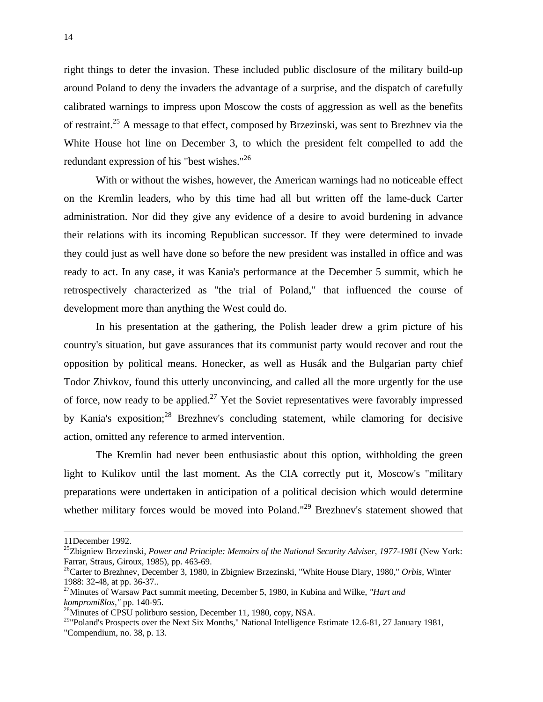right things to deter the invasion. These included public disclosure of the military build-up around Poland to deny the invaders the advantage of a surprise, and the dispatch of carefully calibrated warnings to impress upon Moscow the costs of aggression as well as the benefits of restraint.<sup>25</sup> A message to that effect, composed by Brzezinski, was sent to Brezhnev via the White House hot line on December 3, to which the president felt compelled to add the redundant expression of his "best wishes."<sup>26</sup>

With or without the wishes, however, the American warnings had no noticeable effect on the Kremlin leaders, who by this time had all but written off the lame-duck Carter administration. Nor did they give any evidence of a desire to avoid burdening in advance their relations with its incoming Republican successor. If they were determined to invade they could just as well have done so before the new president was installed in office and was ready to act. In any case, it was Kania's performance at the December 5 summit, which he retrospectively characterized as "the trial of Poland," that influenced the course of development more than anything the West could do.

In his presentation at the gathering, the Polish leader drew a grim picture of his country's situation, but gave assurances that its communist party would recover and rout the opposition by political means. Honecker, as well as Husák and the Bulgarian party chief Todor Zhivkov, found this utterly unconvincing, and called all the more urgently for the use of force, now ready to be applied.<sup>27</sup> Yet the Soviet representatives were favorably impressed by Kania's exposition;<sup>28</sup> Brezhnev's concluding statement, while clamoring for decisive action, omitted any reference to armed intervention.

The Kremlin had never been enthusiastic about this option, withholding the green light to Kulikov until the last moment. As the CIA correctly put it, Moscow's "military preparations were undertaken in anticipation of a political decision which would determine whether military forces would be moved into Poland."<sup>29</sup> Brezhnev's statement showed that

<sup>11</sup>December 1992.

<sup>25</sup>Zbigniew Brzezinski, *Power and Principle: Memoirs of the National Security Adviser, 1977-1981* (New York: Farrar, Straus, Giroux, 1985), pp. 463-69.

<sup>26</sup>Carter to Brezhnev, December 3, 1980, in Zbigniew Brzezinski, "White House Diary, 1980," *Orbis*, Winter 1988: 32-48, at pp. 36-37..

<sup>27</sup>Minutes of Warsaw Pact summit meeting, December 5, 1980, in Kubina and Wilke, *"Hart und kompromißlos,"* pp. 140-95.

<sup>&</sup>lt;sup>28</sup>Minutes of CPSU politburo session, December 11, 1980, copy, NSA.

<sup>&</sup>lt;sup>29</sup>"Poland's Prospects over the Next Six Months," National Intelligence Estimate 12.6-81, 27 January 1981, "Compendium, no. 38, p. 13.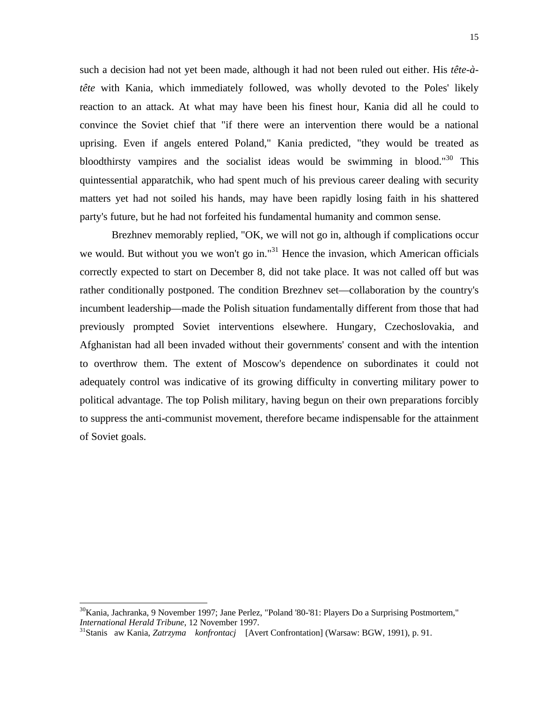such a decision had not yet been made, although it had not been ruled out either. His *tête-àtête* with Kania, which immediately followed, was wholly devoted to the Poles' likely reaction to an attack. At what may have been his finest hour, Kania did all he could to convince the Soviet chief that "if there were an intervention there would be a national uprising. Even if angels entered Poland," Kania predicted, "they would be treated as bloodthirsty vampires and the socialist ideas would be swimming in blood.<sup>"30</sup> This quintessential apparatchik, who had spent much of his previous career dealing with security matters yet had not soiled his hands, may have been rapidly losing faith in his shattered party's future, but he had not forfeited his fundamental humanity and common sense.

Brezhnev memorably replied, "OK, we will not go in, although if complications occur we would. But without you we won't go in."<sup>31</sup> Hence the invasion, which American officials correctly expected to start on December 8, did not take place. It was not called off but was rather conditionally postponed. The condition Brezhnev set—collaboration by the country's incumbent leadership—made the Polish situation fundamentally different from those that had previously prompted Soviet interventions elsewhere. Hungary, Czechoslovakia, and Afghanistan had all been invaded without their governments' consent and with the intention to overthrow them. The extent of Moscow's dependence on subordinates it could not adequately control was indicative of its growing difficulty in converting military power to political advantage. The top Polish military, having begun on their own preparations forcibly to suppress the anti-communist movement, therefore became indispensable for the attainment of Soviet goals.

 $30$ Kania, Jachranka, 9 November 1997; Jane Perlez, "Poland '80-'81: Players Do a Surprising Postmortem," *International Herald Tribune*, 12 November 1997.

<sup>31</sup>Stanisaw Kania, *Zatrzyma konfrontacj* [Avert Confrontation] (Warsaw: BGW, 1991), p. 91.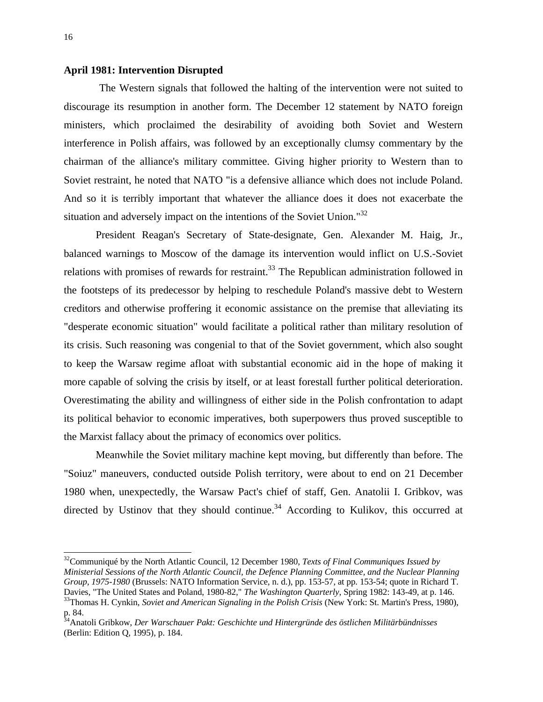#### **April 1981: Intervention Disrupted**

 The Western signals that followed the halting of the intervention were not suited to discourage its resumption in another form. The December 12 statement by NATO foreign ministers, which proclaimed the desirability of avoiding both Soviet and Western interference in Polish affairs, was followed by an exceptionally clumsy commentary by the chairman of the alliance's military committee. Giving higher priority to Western than to Soviet restraint, he noted that NATO "is a defensive alliance which does not include Poland. And so it is terribly important that whatever the alliance does it does not exacerbate the situation and adversely impact on the intentions of the Soviet Union."<sup>32</sup>

President Reagan's Secretary of State-designate, Gen. Alexander M. Haig, Jr., balanced warnings to Moscow of the damage its intervention would inflict on U.S.-Soviet relations with promises of rewards for restraint.<sup>33</sup> The Republican administration followed in the footsteps of its predecessor by helping to reschedule Poland's massive debt to Western creditors and otherwise proffering it economic assistance on the premise that alleviating its "desperate economic situation" would facilitate a political rather than military resolution of its crisis. Such reasoning was congenial to that of the Soviet government, which also sought to keep the Warsaw regime afloat with substantial economic aid in the hope of making it more capable of solving the crisis by itself, or at least forestall further political deterioration. Overestimating the ability and willingness of either side in the Polish confrontation to adapt its political behavior to economic imperatives, both superpowers thus proved susceptible to the Marxist fallacy about the primacy of economics over politics.

Meanwhile the Soviet military machine kept moving, but differently than before. The "Soiuz" maneuvers, conducted outside Polish territory, were about to end on 21 December 1980 when, unexpectedly, the Warsaw Pact's chief of staff, Gen. Anatolii I. Gribkov, was directed by Ustinov that they should continue. $34$  According to Kulikov, this occurred at

<sup>32</sup>Communiqué by the North Atlantic Council, 12 December 1980, *Texts of Final Communiques Issued by Ministerial Sessions of the North Atlantic Council, the Defence Planning Committee, and the Nuclear Planning Group, 1975-1980* (Brussels: NATO Information Service, n. d.), pp. 153-57, at pp. 153-54; quote in Richard T. Davies, "The United States and Poland, 1980-82," *The Washington Quarterly*, Spring 1982: 143-49, at p. 146. <sup>33</sup>Thomas H. Cynkin, *Soviet and American Signaling in the Polish Crisis* (New York: St. Martin's Press, 1980), p. 84.

<sup>34</sup>Anatoli Gribkow, *Der Warschauer Pakt: Geschichte und Hintergründe des östlichen Militärbündnisses* (Berlin: Edition Q, 1995), p. 184.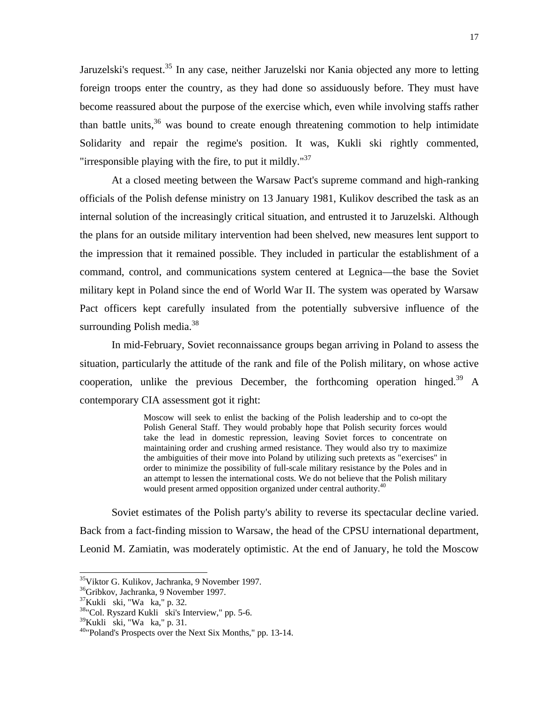Jaruzelski's request.<sup>35</sup> In any case, neither Jaruzelski nor Kania objected any more to letting foreign troops enter the country, as they had done so assiduously before. They must have become reassured about the purpose of the exercise which, even while involving staffs rather than battle units, $36$  was bound to create enough threatening commotion to help intimidate Solidarity and repair the regime's position. It was, Kukliski rightly commented, "irresponsible playing with the fire, to put it mildly." $37$ 

At a closed meeting between the Warsaw Pact's supreme command and high-ranking officials of the Polish defense ministry on 13 January 1981, Kulikov described the task as an internal solution of the increasingly critical situation, and entrusted it to Jaruzelski. Although the plans for an outside military intervention had been shelved, new measures lent support to the impression that it remained possible. They included in particular the establishment of a command, control, and communications system centered at Legnica—the base the Soviet military kept in Poland since the end of World War II. The system was operated by Warsaw Pact officers kept carefully insulated from the potentially subversive influence of the surrounding Polish media. $38$ 

In mid-February, Soviet reconnaissance groups began arriving in Poland to assess the situation, particularly the attitude of the rank and file of the Polish military, on whose active cooperation, unlike the previous December, the forthcoming operation hinged.<sup>39</sup> A contemporary CIA assessment got it right:

> Moscow will seek to enlist the backing of the Polish leadership and to co-opt the Polish General Staff. They would probably hope that Polish security forces would take the lead in domestic repression, leaving Soviet forces to concentrate on maintaining order and crushing armed resistance. They would also try to maximize the ambiguities of their move into Poland by utilizing such pretexts as "exercises" in order to minimize the possibility of full-scale military resistance by the Poles and in an attempt to lessen the international costs. We do not believe that the Polish military would present armed opposition organized under central authority.<sup>40</sup>

Soviet estimates of the Polish party's ability to reverse its spectacular decline varied. Back from a fact-finding mission to Warsaw, the head of the CPSU international department, Leonid M. Zamiatin, was moderately optimistic. At the end of January, he told the Moscow

<sup>35</sup>Viktor G. Kulikov, Jachranka, 9 November 1997.

<sup>36</sup>Gribkov, Jachranka, 9 November 1997.

 $37$ Kukliski, "Waka," p. 32.

<sup>&</sup>lt;sup>38</sup>"Col. Ryszard Kukli ski's Interview," pp. 5-6.

<sup>39</sup>Kukliski, " Waka," p. 31.

<sup>40</sup>"Poland's Prospects over the Next Six Months," pp. 13-14.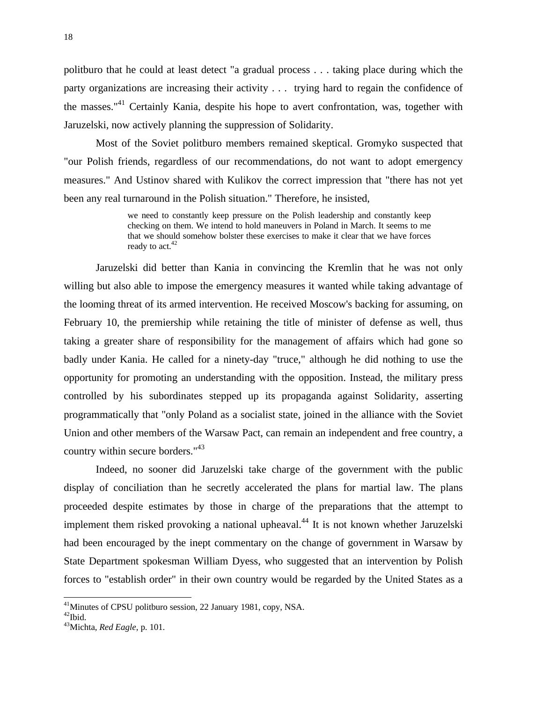politburo that he could at least detect "a gradual process . . . taking place during which the party organizations are increasing their activity . . . trying hard to regain the confidence of the masses." $41$  Certainly Kania, despite his hope to avert confrontation, was, together with Jaruzelski, now actively planning the suppression of Solidarity.

Most of the Soviet politburo members remained skeptical. Gromyko suspected that "our Polish friends, regardless of our recommendations, do not want to adopt emergency measures." And Ustinov shared with Kulikov the correct impression that "there has not yet been any real turnaround in the Polish situation." Therefore, he insisted,

> we need to constantly keep pressure on the Polish leadership and constantly keep checking on them. We intend to hold maneuvers in Poland in March. It seems to me that we should somehow bolster these exercises to make it clear that we have forces ready to act.<sup>42</sup>

Jaruzelski did better than Kania in convincing the Kremlin that he was not only willing but also able to impose the emergency measures it wanted while taking advantage of the looming threat of its armed intervention. He received Moscow's backing for assuming, on February 10, the premiership while retaining the title of minister of defense as well, thus taking a greater share of responsibility for the management of affairs which had gone so badly under Kania. He called for a ninety-day "truce," although he did nothing to use the opportunity for promoting an understanding with the opposition. Instead, the military press controlled by his subordinates stepped up its propaganda against Solidarity, asserting programmatically that "only Poland as a socialist state, joined in the alliance with the Soviet Union and other members of the Warsaw Pact, can remain an independent and free country, a country within secure borders."<sup>43</sup>

Indeed, no sooner did Jaruzelski take charge of the government with the public display of conciliation than he secretly accelerated the plans for martial law. The plans proceeded despite estimates by those in charge of the preparations that the attempt to implement them risked provoking a national upheaval.<sup>44</sup> It is not known whether Jaruzelski had been encouraged by the inept commentary on the change of government in Warsaw by State Department spokesman William Dyess, who suggested that an intervention by Polish forces to "establish order" in their own country would be regarded by the United States as a

<sup>&</sup>lt;sup>41</sup>Minutes of CPSU politburo session, 22 January 1981, copy, NSA.

 $\rm ^{42}Ibid.$ 

<sup>43</sup>Michta, *Red Eagle*, p. 101.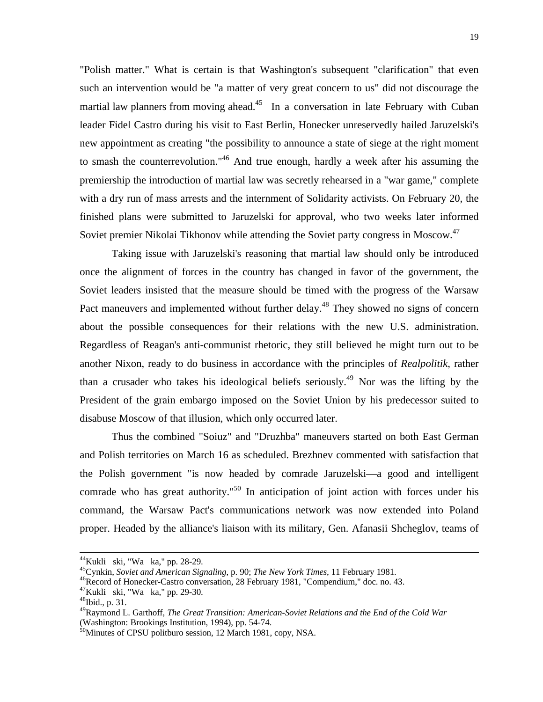"Polish matter." What is certain is that Washington's subsequent "clarification" that even such an intervention would be "a matter of very great concern to us" did not discourage the martial law planners from moving ahead.<sup>45</sup> In a conversation in late February with Cuban leader Fidel Castro during his visit to East Berlin, Honecker unreservedly hailed Jaruzelski's new appointment as creating "the possibility to announce a state of siege at the right moment to smash the counterrevolution."<sup>46</sup> And true enough, hardly a week after his assuming the premiership the introduction of martial law was secretly rehearsed in a "war game," complete with a dry run of mass arrests and the internment of Solidarity activists. On February 20, the finished plans were submitted to Jaruzelski for approval, who two weeks later informed Soviet premier Nikolai Tikhonov while attending the Soviet party congress in Moscow.<sup>47</sup>

Taking issue with Jaruzelski's reasoning that martial law should only be introduced once the alignment of forces in the country has changed in favor of the government, the Soviet leaders insisted that the measure should be timed with the progress of the Warsaw Pact maneuvers and implemented without further delay.<sup>48</sup> They showed no signs of concern about the possible consequences for their relations with the new U.S. administration. Regardless of Reagan's anti-communist rhetoric, they still believed he might turn out to be another Nixon, ready to do business in accordance with the principles of *Realpolitik*, rather than a crusader who takes his ideological beliefs seriously.<sup>49</sup> Nor was the lifting by the President of the grain embargo imposed on the Soviet Union by his predecessor suited to disabuse Moscow of that illusion, which only occurred later.

Thus the combined "Soiuz" and "Druzhba" maneuvers started on both East German and Polish territories on March 16 as scheduled. Brezhnev commented with satisfaction that the Polish government "is now headed by comrade Jaruzelski—a good and intelligent comrade who has great authority."<sup>50</sup> In anticipation of joint action with forces under his command, the Warsaw Pact's communications network was now extended into Poland proper. Headed by the alliance's liaison with its military, Gen. Afanasii Shcheglov, teams of

 $44$ Kukliski, "Waka," pp. 28-29.

<sup>45</sup>Cynkin, *Soviet and American Signaling*, p. 90; *The New York Times*, 11 February 1981.

<sup>46</sup>Record of Honecker-Castro conversation, 28 February 1981, "Compendium," doc. no. 43.

 $47$ Kukliski, "Waka," pp. 29-30.

<sup>48</sup>Ibid., p. 31.

<sup>49</sup>Raymond L. Garthoff, *The Great Transition: American-Soviet Relations and the End of the Cold War* (Washington: Brookings Institution, 1994), pp. 54-74.

<sup>50</sup> Minutes of CPSU politburo session, 12 March 1981, copy, NSA.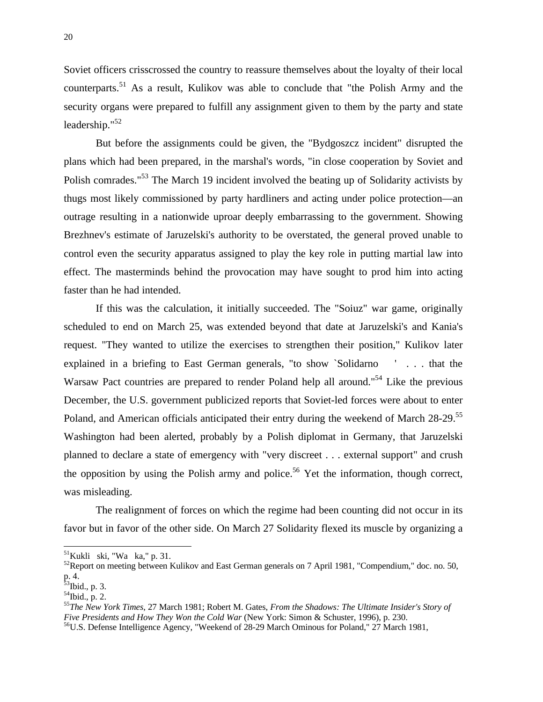Soviet officers crisscrossed the country to reassure themselves about the loyalty of their local counterparts.<sup>51</sup> As a result, Kulikov was able to conclude that "the Polish Army and the security organs were prepared to fulfill any assignment given to them by the party and state leadership."<sup>52</sup>

But before the assignments could be given, the "Bydgoszcz incident" disrupted the plans which had been prepared, in the marshal's words, "in close cooperation by Soviet and Polish comrades."<sup>53</sup> The March 19 incident involved the beating up of Solidarity activists by thugs most likely commissioned by party hardliners and acting under police protection—an outrage resulting in a nationwide uproar deeply embarrassing to the government. Showing Brezhnev's estimate of Jaruzelski's authority to be overstated, the general proved unable to control even the security apparatus assigned to play the key role in putting martial law into effect. The masterminds behind the provocation may have sought to prod him into acting faster than he had intended.

If this was the calculation, it initially succeeded. The "Soiuz" war game, originally scheduled to end on March 25, was extended beyond that date at Jaruzelski's and Kania's request. "They wanted to utilize the exercises to strengthen their position," Kulikov later explained in a briefing to East German generals, "to show `Solidarno' . . . that the Warsaw Pact countries are prepared to render Poland help all around."<sup>54</sup> Like the previous December, the U.S. government publicized reports that Soviet-led forces were about to enter Poland, and American officials anticipated their entry during the weekend of March 28-29.<sup>55</sup> Washington had been alerted, probably by a Polish diplomat in Germany, that Jaruzelski planned to declare a state of emergency with "very discreet . . . external support" and crush the opposition by using the Polish army and police.<sup>56</sup> Yet the information, though correct, was misleading.

The realignment of forces on which the regime had been counting did not occur in its favor but in favor of the other side. On March 27 Solidarity flexed its muscle by organizing a

 $51$ Kukliski, "Waka," p. 31.

<sup>&</sup>lt;sup>52</sup>Report on meeting between Kulikov and East German generals on 7 April 1981, "Compendium," doc. no. 50, p. 4.

<sup>&</sup>lt;sup>53</sup>Ibid., p. 3.

<sup>54</sup>Ibid., p. 2.

<sup>55</sup>*The New York Times*, 27 March 1981; Robert M. Gates, *From the Shadows: The Ultimate Insider's Story of Five Presidents and How They Won the Cold War* (New York: Simon & Schuster, 1996), p. 230.

<sup>56</sup>U.S. Defense Intelligence Agency, "Weekend of 28-29 March Ominous for Poland," 27 March 1981,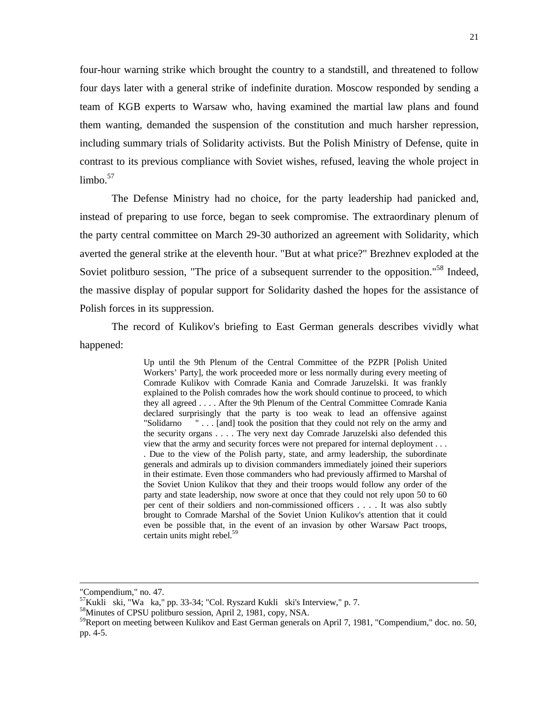four-hour warning strike which brought the country to a standstill, and threatened to follow four days later with a general strike of indefinite duration. Moscow responded by sending a team of KGB experts to Warsaw who, having examined the martial law plans and found them wanting, demanded the suspension of the constitution and much harsher repression, including summary trials of Solidarity activists. But the Polish Ministry of Defense, quite in contrast to its previous compliance with Soviet wishes, refused, leaving the whole project in  $limbo.<sup>57</sup>$ 

The Defense Ministry had no choice, for the party leadership had panicked and, instead of preparing to use force, began to seek compromise. The extraordinary plenum of the party central committee on March 29-30 authorized an agreement with Solidarity, which averted the general strike at the eleventh hour. "But at what price?" Brezhnev exploded at the Soviet politburo session, "The price of a subsequent surrender to the opposition."<sup>58</sup> Indeed, the massive display of popular support for Solidarity dashed the hopes for the assistance of Polish forces in its suppression.

The record of Kulikov's briefing to East German generals describes vividly what happened:

> Up until the 9th Plenum of the Central Committee of the PZPR [Polish United Workers' Party], the work proceeded more or less normally during every meeting of Comrade Kulikov with Comrade Kania and Comrade Jaruzelski. It was frankly explained to the Polish comrades how the work should continue to proceed, to which they all agreed . . . . After the 9th Plenum of the Central Committee Comrade Kania declared surprisingly that the party is too weak to lead an offensive against "Solidarno" . . . [and] took the position that they could not rely on the army and the security organs . . . . The very next day Comrade Jaruzelski also defended this view that the army and security forces were not prepared for internal deployment . . . . Due to the view of the Polish party, state, and army leadership, the subordinate generals and admirals up to division commanders immediately joined their superiors in their estimate. Even those commanders who had previously affirmed to Marshal of the Soviet Union Kulikov that they and their troops would follow any order of the party and state leadership, now swore at once that they could not rely upon 50 to 60 per cent of their soldiers and non-commissioned officers . . . . It was also subtly brought to Comrade Marshal of the Soviet Union Kulikov's attention that it could even be possible that, in the event of an invasion by other Warsaw Pact troops, certain units might rebel.<sup>59</sup>

<sup>&</sup>quot;Compendium," no. 47.

<sup>57</sup>Kukliski, " Waka," pp. 33-34; "Col. Ryszard Kukliski's Interview," p. 7.

<sup>58</sup>Minutes of CPSU politburo session, April 2, 1981, copy, NSA.

<sup>59</sup>Report on meeting between Kulikov and East German generals on April 7, 1981, "Compendium," doc. no. 50, pp. 4-5.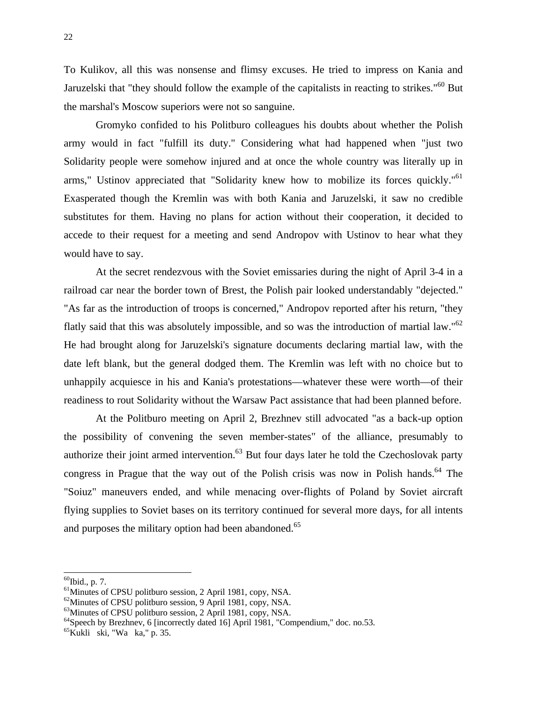To Kulikov, all this was nonsense and flimsy excuses. He tried to impress on Kania and Jaruzelski that "they should follow the example of the capitalists in reacting to strikes."<sup>60</sup> But the marshal's Moscow superiors were not so sanguine.

Gromyko confided to his Politburo colleagues his doubts about whether the Polish army would in fact "fulfill its duty." Considering what had happened when "just two Solidarity people were somehow injured and at once the whole country was literally up in arms," Ustinov appreciated that "Solidarity knew how to mobilize its forces quickly."<sup>61</sup> Exasperated though the Kremlin was with both Kania and Jaruzelski, it saw no credible substitutes for them. Having no plans for action without their cooperation, it decided to accede to their request for a meeting and send Andropov with Ustinov to hear what they would have to say.

At the secret rendezvous with the Soviet emissaries during the night of April 3-4 in a railroad car near the border town of Brest, the Polish pair looked understandably "dejected." "As far as the introduction of troops is concerned," Andropov reported after his return, "they flatly said that this was absolutely impossible, and so was the introduction of martial law." $62$ He had brought along for Jaruzelski's signature documents declaring martial law, with the date left blank, but the general dodged them. The Kremlin was left with no choice but to unhappily acquiesce in his and Kania's protestations—whatever these were worth—of their readiness to rout Solidarity without the Warsaw Pact assistance that had been planned before.

At the Politburo meeting on April 2, Brezhnev still advocated "as a back-up option the possibility of convening the seven member-states" of the alliance, presumably to authorize their joint armed intervention.<sup>63</sup> But four days later he told the Czechoslovak party congress in Prague that the way out of the Polish crisis was now in Polish hands.<sup>64</sup> The "Soiuz" maneuvers ended, and while menacing over-flights of Poland by Soviet aircraft flying supplies to Soviet bases on its territory continued for several more days, for all intents and purposes the military option had been abandoned.<sup>65</sup>

 $^{60}$ Ibid., p. 7.

<sup>61</sup>Minutes of CPSU politburo session, 2 April 1981, copy, NSA.

<sup>62</sup>Minutes of CPSU politburo session, 9 April 1981, copy, NSA.

<sup>&</sup>lt;sup>63</sup>Minutes of CPSU politburo session, 2 April 1981, copy, NSA.

<sup>64</sup>Speech by Brezhnev, 6 [incorrectly dated 16] April 1981, "Compendium," doc. no.53.

 $65$ Kukliski, "Waka," p. 35.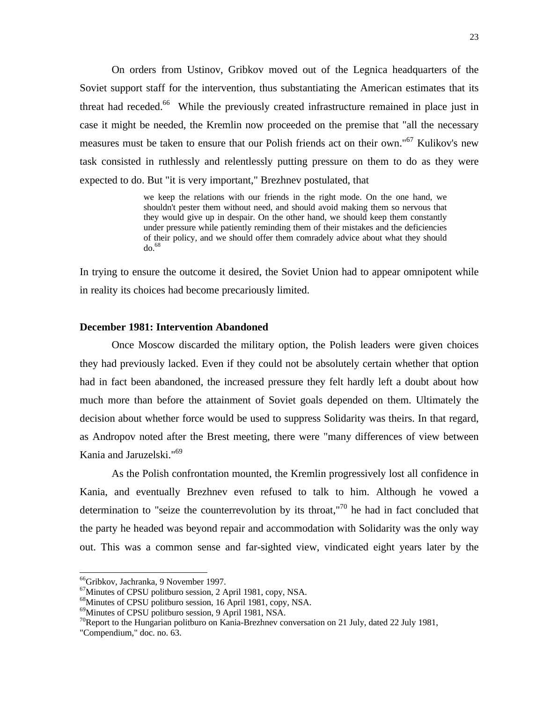On orders from Ustinov, Gribkov moved out of the Legnica headquarters of the Soviet support staff for the intervention, thus substantiating the American estimates that its threat had receded.<sup>66</sup> While the previously created infrastructure remained in place just in case it might be needed, the Kremlin now proceeded on the premise that "all the necessary measures must be taken to ensure that our Polish friends act on their own."<sup>67</sup> Kulikov's new task consisted in ruthlessly and relentlessly putting pressure on them to do as they were expected to do. But "it is very important," Brezhnev postulated, that

> we keep the relations with our friends in the right mode. On the one hand, we shouldn't pester them without need, and should avoid making them so nervous that they would give up in despair. On the other hand, we should keep them constantly under pressure while patiently reminding them of their mistakes and the deficiencies of their policy, and we should offer them comradely advice about what they should  $d$ o.<sup>68</sup>

In trying to ensure the outcome it desired, the Soviet Union had to appear omnipotent while in reality its choices had become precariously limited.

#### **December 1981: Intervention Abandoned**

Once Moscow discarded the military option, the Polish leaders were given choices they had previously lacked. Even if they could not be absolutely certain whether that option had in fact been abandoned, the increased pressure they felt hardly left a doubt about how much more than before the attainment of Soviet goals depended on them. Ultimately the decision about whether force would be used to suppress Solidarity was theirs. In that regard, as Andropov noted after the Brest meeting, there were "many differences of view between Kania and Jaruzelski."<sup>69</sup>

As the Polish confrontation mounted, the Kremlin progressively lost all confidence in Kania, and eventually Brezhnev even refused to talk to him. Although he vowed a determination to "seize the counterrevolution by its throat,"<sup>70</sup> he had in fact concluded that the party he headed was beyond repair and accommodation with Solidarity was the only way out. This was a common sense and far-sighted view, vindicated eight years later by the

<sup>66</sup>Gribkov, Jachranka, 9 November 1997.

<sup>67</sup>Minutes of CPSU politburo session, 2 April 1981, copy, NSA.

<sup>68</sup>Minutes of CPSU politburo session, 16 April 1981, copy, NSA.

<sup>69</sup>Minutes of CPSU politburo session, 9 April 1981, NSA.

 $70$ Report to the Hungarian politburo on Kania-Brezhnev conversation on 21 July, dated 22 July 1981,

<sup>&</sup>quot;Compendium," doc. no. 63.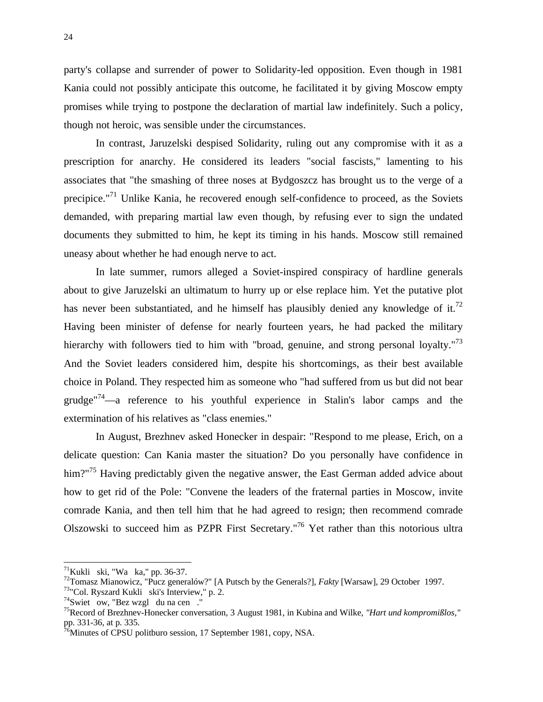party's collapse and surrender of power to Solidarity-led opposition. Even though in 1981 Kania could not possibly anticipate this outcome, he facilitated it by giving Moscow empty promises while trying to postpone the declaration of martial law indefinitely. Such a policy, though not heroic, was sensible under the circumstances.

In contrast, Jaruzelski despised Solidarity, ruling out any compromise with it as a prescription for anarchy. He considered its leaders "social fascists," lamenting to his associates that "the smashing of three noses at Bydgoszcz has brought us to the verge of a precipice."<sup>71</sup> Unlike Kania, he recovered enough self-confidence to proceed, as the Soviets demanded, with preparing martial law even though, by refusing ever to sign the undated documents they submitted to him, he kept its timing in his hands. Moscow still remained uneasy about whether he had enough nerve to act.

In late summer, rumors alleged a Soviet-inspired conspiracy of hardline generals about to give Jaruzelski an ultimatum to hurry up or else replace him. Yet the putative plot has never been substantiated, and he himself has plausibly denied any knowledge of it.<sup>72</sup> Having been minister of defense for nearly fourteen years, he had packed the military hierarchy with followers tied to him with "broad, genuine, and strong personal loyalty."<sup>73</sup> And the Soviet leaders considered him, despite his shortcomings, as their best available choice in Poland. They respected him as someone who "had suffered from us but did not bear grudge"<sup>74</sup>—a reference to his youthful experience in Stalin's labor camps and the extermination of his relatives as "class enemies."

In August, Brezhnev asked Honecker in despair: "Respond to me please, Erich, on a delicate question: Can Kania master the situation? Do you personally have confidence in him?"<sup>75</sup> Having predictably given the negative answer, the East German added advice about how to get rid of the Pole: "Convene the leaders of the fraternal parties in Moscow, invite comrade Kania, and then tell him that he had agreed to resign; then recommend comrade Olszowski to succeed him as PZPR First Secretary."<sup>76</sup> Yet rather than this notorious ultra

1

 $71$ Kukliski, "Waka," pp. 36-37.

<sup>72</sup>Tomasz Mianowicz, "Pucz generalów?" [A Putsch by the Generals?], *Fakty* [Warsaw], 29 October 1997.

<sup>73</sup>"Col. Ryszard Kukliski's Interview," p. 2.

 $74$ Swietow, "Bez wzgl du na cen."

<sup>75</sup>Record of Brezhnev-Honecker conversation, 3 August 1981, in Kubina and Wilke, *"Hart und kompromißlos,"* pp. 331-36, at p. 335.

 $^{76}$ Minutes of CPSU politburo session, 17 September 1981, copy, NSA.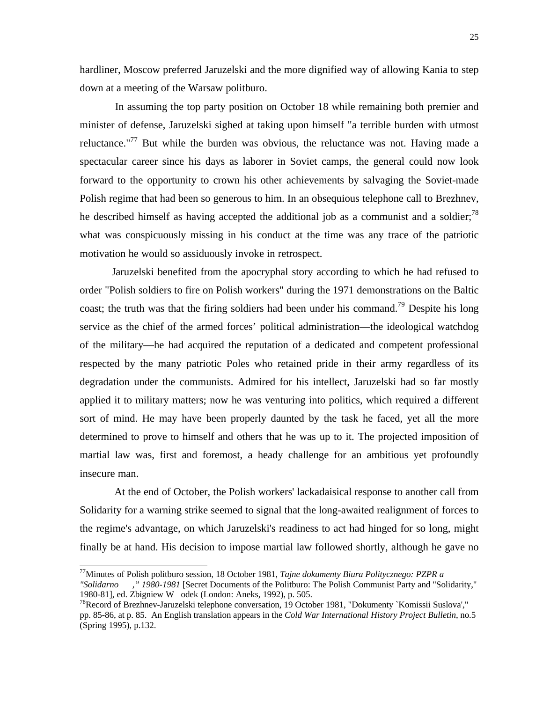hardliner, Moscow preferred Jaruzelski and the more dignified way of allowing Kania to step down at a meeting of the Warsaw politburo.

 In assuming the top party position on October 18 while remaining both premier and minister of defense, Jaruzelski sighed at taking upon himself "a terrible burden with utmost reluctance."<sup>77</sup> But while the burden was obvious, the reluctance was not. Having made a spectacular career since his days as laborer in Soviet camps, the general could now look forward to the opportunity to crown his other achievements by salvaging the Soviet-made Polish regime that had been so generous to him. In an obsequious telephone call to Brezhnev, he described himself as having accepted the additional job as a communist and a soldier;<sup>78</sup> what was conspicuously missing in his conduct at the time was any trace of the patriotic motivation he would so assiduously invoke in retrospect.

Jaruzelski benefited from the apocryphal story according to which he had refused to order "Polish soldiers to fire on Polish workers" during the 1971 demonstrations on the Baltic coast; the truth was that the firing soldiers had been under his command.<sup>79</sup> Despite his long service as the chief of the armed forces' political administration—the ideological watchdog of the military—he had acquired the reputation of a dedicated and competent professional respected by the many patriotic Poles who retained pride in their army regardless of its degradation under the communists. Admired for his intellect, Jaruzelski had so far mostly applied it to military matters; now he was venturing into politics, which required a different sort of mind. He may have been properly daunted by the task he faced, yet all the more determined to prove to himself and others that he was up to it. The projected imposition of martial law was, first and foremost, a heady challenge for an ambitious yet profoundly insecure man.

 At the end of October, the Polish workers' lackadaisical response to another call from Solidarity for a warning strike seemed to signal that the long-awaited realignment of forces to the regime's advantage, on which Jaruzelski's readiness to act had hinged for so long, might finally be at hand. His decision to impose martial law followed shortly, although he gave no

<sup>77</sup>Minutes of Polish politburo session, 18 October 1981, *Tajne dokumenty Biura Politycznego: PZPR a*

*<sup>&</sup>quot;Solidarno," 1980-1981* [Secret Documents of the Politburo: The Polish Communist Party and "Solidarity," 1980-81], ed. Zbigniew Wodek (London: Aneks, 1992), p. 505.

<sup>78</sup>Record of Brezhnev-Jaruzelski telephone conversation, 19 October 1981, "Dokumenty `Komissii Suslova'," pp. 85-86, at p. 85. An English translation appears in the *Cold War International History Project Bulletin*, no.5 (Spring 1995), p.132.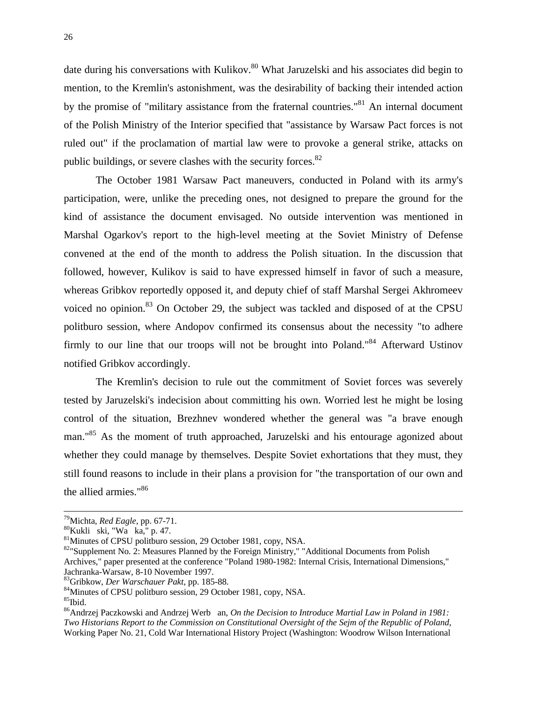date during his conversations with Kulikov.<sup>80</sup> What Jaruzelski and his associates did begin to mention, to the Kremlin's astonishment, was the desirability of backing their intended action by the promise of "military assistance from the fraternal countries."<sup>81</sup> An internal document of the Polish Ministry of the Interior specified that "assistance by Warsaw Pact forces is not ruled out" if the proclamation of martial law were to provoke a general strike, attacks on public buildings, or severe clashes with the security forces.<sup>82</sup>

The October 1981 Warsaw Pact maneuvers, conducted in Poland with its army's participation, were, unlike the preceding ones, not designed to prepare the ground for the kind of assistance the document envisaged. No outside intervention was mentioned in Marshal Ogarkov's report to the high-level meeting at the Soviet Ministry of Defense convened at the end of the month to address the Polish situation. In the discussion that followed, however, Kulikov is said to have expressed himself in favor of such a measure, whereas Gribkov reportedly opposed it, and deputy chief of staff Marshal Sergei Akhromeev voiced no opinion.<sup>83</sup> On October 29, the subject was tackled and disposed of at the CPSU politburo session, where Andopov confirmed its consensus about the necessity "to adhere firmly to our line that our troops will not be brought into Poland."<sup>84</sup> Afterward Ustinov notified Gribkov accordingly.

The Kremlin's decision to rule out the commitment of Soviet forces was severely tested by Jaruzelski's indecision about committing his own. Worried lest he might be losing control of the situation, Brezhnev wondered whether the general was "a brave enough man."<sup>85</sup> As the moment of truth approached, Jaruzelski and his entourage agonized about whether they could manage by themselves. Despite Soviet exhortations that they must, they still found reasons to include in their plans a provision for "the transportation of our own and the allied armies."<sup>86</sup>

<sup>79</sup>Michta, *Red Eagle*, pp. 67-71.

 $80$ Kukliski, "Waka," p. 47.

<sup>81</sup>Minutes of CPSU politburo session, 29 October 1981, copy, NSA.

<sup>&</sup>lt;sup>82</sup>"Supplement No. 2: Measures Planned by the Foreign Ministry," "Additional Documents from Polish Archives," paper presented at the conference "Poland 1980-1982: Internal Crisis, International Dimensions," Jachranka-Warsaw, 8-10 November 1997.

<sup>83</sup>Gribkow, *Der Warschauer Pakt*, pp. 185-88.

<sup>84</sup>Minutes of CPSU politburo session, 29 October 1981, copy, NSA.

<sup>85</sup>Ibid.

<sup>86</sup>Andrzej Paczkowski and Andrzej Werban, *On the Decision to Introduce Martial Law in Poland in 1981: Two Historians Report to the Commission on Constitutional Oversight of the Sejm of the Republic of Poland*, Working Paper No. 21, Cold War International History Project (Washington: Woodrow Wilson International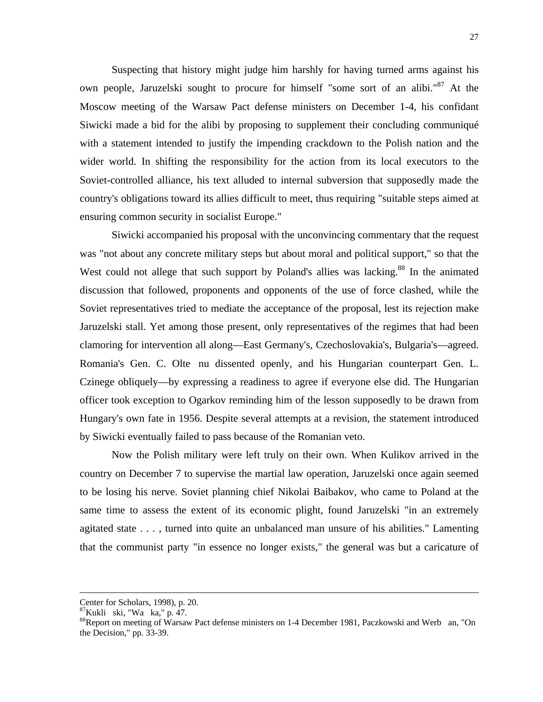Suspecting that history might judge him harshly for having turned arms against his own people, Jaruzelski sought to procure for himself "some sort of an alibi."<sup>87</sup> At the Moscow meeting of the Warsaw Pact defense ministers on December 1-4, his confidant Siwicki made a bid for the alibi by proposing to supplement their concluding communiqué with a statement intended to justify the impending crackdown to the Polish nation and the wider world. In shifting the responsibility for the action from its local executors to the Soviet-controlled alliance, his text alluded to internal subversion that supposedly made the country's obligations toward its allies difficult to meet, thus requiring "suitable steps aimed at ensuring common security in socialist Europe."

Siwicki accompanied his proposal with the unconvincing commentary that the request was "not about any concrete military steps but about moral and political support," so that the West could not allege that such support by Poland's allies was lacking.<sup>88</sup> In the animated discussion that followed, proponents and opponents of the use of force clashed, while the Soviet representatives tried to mediate the acceptance of the proposal, lest its rejection make Jaruzelski stall. Yet among those present, only representatives of the regimes that had been clamoring for intervention all along—East Germany's, Czechoslovakia's, Bulgaria's—agreed. Romania's Gen. C. Oltenu dissented openly, and his Hungarian counterpart Gen. L. Czinege obliquely—by expressing a readiness to agree if everyone else did. The Hungarian officer took exception to Ogarkov reminding him of the lesson supposedly to be drawn from Hungary's own fate in 1956. Despite several attempts at a revision, the statement introduced by Siwicki eventually failed to pass because of the Romanian veto.

Now the Polish military were left truly on their own. When Kulikov arrived in the country on December 7 to supervise the martial law operation, Jaruzelski once again seemed to be losing his nerve. Soviet planning chief Nikolai Baibakov, who came to Poland at the same time to assess the extent of its economic plight, found Jaruzelski "in an extremely agitated state . . . , turned into quite an unbalanced man unsure of his abilities." Lamenting that the communist party "in essence no longer exists," the general was but a caricature of

Center for Scholars, 1998), p. 20.

 $87$ Kukliski, "Waka," p. 47.

<sup>&</sup>lt;sup>88</sup>Report on meeting of Warsaw Pact defense ministers on 1-4 December 1981, Paczkowski and Werb an, "On the Decision," pp. 33-39.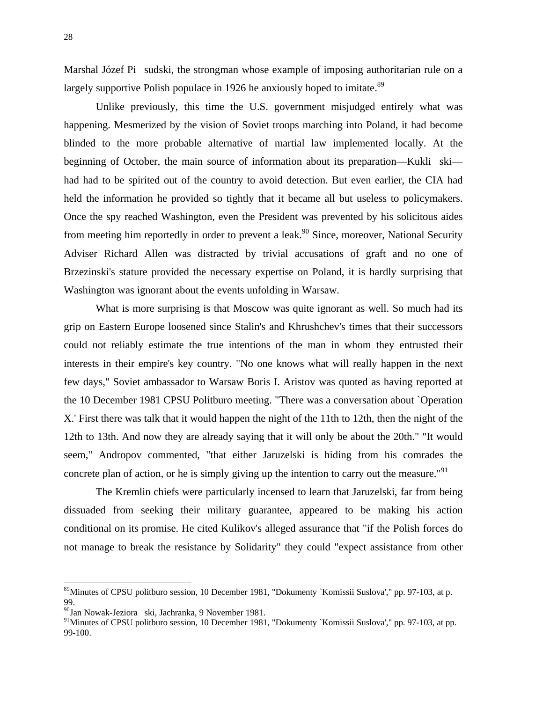Marshal Józef Pisudski, the strongman whose example of imposing authoritarian rule on a largely supportive Polish populace in 1926 he anxiously hoped to imitate. $89$ 

Unlike previously, this time the U.S. government misjudged entirely what was happening. Mesmerized by the vision of Soviet troops marching into Poland, it had become blinded to the more probable alternative of martial law implemented locally. At the beginning of October, the main source of information about its preparation—Kukliski had had to be spirited out of the country to avoid detection. But even earlier, the CIA had held the information he provided so tightly that it became all but useless to policymakers. Once the spy reached Washington, even the President was prevented by his solicitous aides from meeting him reportedly in order to prevent a leak.<sup>90</sup> Since, moreover, National Security Adviser Richard Allen was distracted by trivial accusations of graft and no one of Brzezinski's stature provided the necessary expertise on Poland, it is hardly surprising that Washington was ignorant about the events unfolding in Warsaw.

What is more surprising is that Moscow was quite ignorant as well. So much had its grip on Eastern Europe loosened since Stalin's and Khrushchev's times that their successors could not reliably estimate the true intentions of the man in whom they entrusted their interests in their empire's key country. "No one knows what will really happen in the next few days," Soviet ambassador to Warsaw Boris I. Aristov was quoted as having reported at the 10 December 1981 CPSU Politburo meeting. "There was a conversation about `Operation X.' First there was talk that it would happen the night of the 11th to 12th, then the night of the 12th to 13th. And now they are already saying that it will only be about the 20th." "It would seem," Andropov commented, "that either Jaruzelski is hiding from his comrades the concrete plan of action, or he is simply giving up the intention to carry out the measure."<sup>91</sup>

The Kremlin chiefs were particularly incensed to learn that Jaruzelski, far from being dissuaded from seeking their military guarantee, appeared to be making his action conditional on its promise. He cited Kulikov's alleged assurance that "if the Polish forces do not manage to break the resistance by Solidarity" they could "expect assistance from other

 $89$ Minutes of CPSU politburo session, 10 December 1981, "Dokumenty `Komissii Suslova'," pp. 97-103, at p. 99.

<sup>90</sup>Jan Nowak-Jezioraski, Jachranka, 9 November 1981.

<sup>&</sup>lt;sup>91</sup>Minutes of CPSU politburo session, 10 December 1981, "Dokumenty `Komissii Suslova'," pp. 97-103, at pp. 99-100.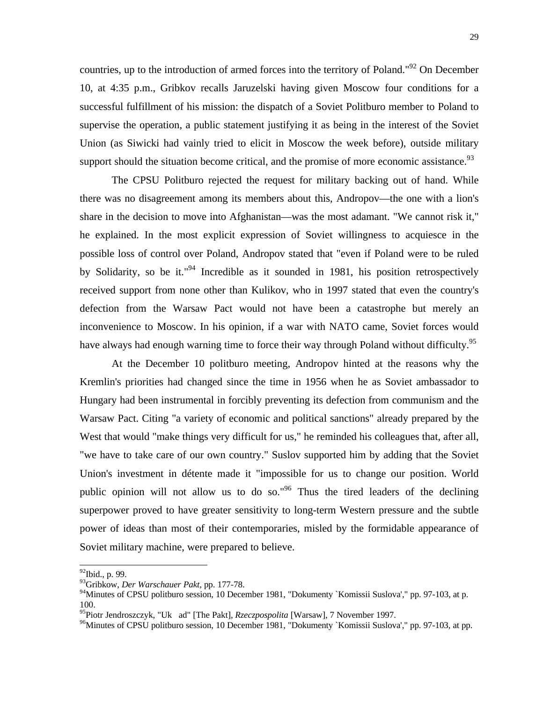countries, up to the introduction of armed forces into the territory of Poland."<sup>92</sup> On December 10, at 4:35 p.m., Gribkov recalls Jaruzelski having given Moscow four conditions for a successful fulfillment of his mission: the dispatch of a Soviet Politburo member to Poland to supervise the operation, a public statement justifying it as being in the interest of the Soviet Union (as Siwicki had vainly tried to elicit in Moscow the week before), outside military support should the situation become critical, and the promise of more economic assistance.  $93$ 

The CPSU Politburo rejected the request for military backing out of hand. While there was no disagreement among its members about this, Andropov—the one with a lion's share in the decision to move into Afghanistan—was the most adamant. "We cannot risk it," he explained. In the most explicit expression of Soviet willingness to acquiesce in the possible loss of control over Poland, Andropov stated that "even if Poland were to be ruled by Solidarity, so be it."<sup>94</sup> Incredible as it sounded in 1981, his position retrospectively received support from none other than Kulikov, who in 1997 stated that even the country's defection from the Warsaw Pact would not have been a catastrophe but merely an inconvenience to Moscow. In his opinion, if a war with NATO came, Soviet forces would have always had enough warning time to force their way through Poland without difficulty.<sup>95</sup>

At the December 10 politburo meeting, Andropov hinted at the reasons why the Kremlin's priorities had changed since the time in 1956 when he as Soviet ambassador to Hungary had been instrumental in forcibly preventing its defection from communism and the Warsaw Pact. Citing "a variety of economic and political sanctions" already prepared by the West that would "make things very difficult for us," he reminded his colleagues that, after all, "we have to take care of our own country." Suslov supported him by adding that the Soviet Union's investment in détente made it "impossible for us to change our position. World public opinion will not allow us to do so."<sup>96</sup> Thus the tired leaders of the declining superpower proved to have greater sensitivity to long-term Western pressure and the subtle power of ideas than most of their contemporaries, misled by the formidable appearance of Soviet military machine, were prepared to believe.

 $^{92}$ Ibid., p. 99.

<sup>93</sup>Gribkow, *Der Warschauer Pakt*, pp. 177-78.

<sup>&</sup>lt;sup>94</sup>Minutes of CPSU politburo session, 10 December 1981, "Dokumenty `Komissii Suslova'," pp. 97-103, at p. 100.

<sup>95</sup>Piotr Jendroszczyk, "Ukad" [The Pakt], *Rzeczpospolita* [Warsaw], 7 November 1997.

<sup>&</sup>lt;sup>96</sup>Minutes of CPSU politburo session, 10 December 1981, "Dokumenty `Komissii Suslova'," pp. 97-103, at pp.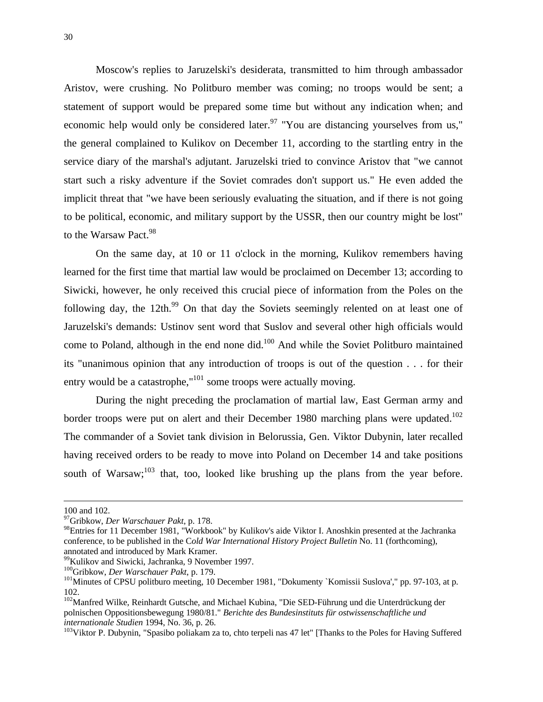Moscow's replies to Jaruzelski's desiderata, transmitted to him through ambassador Aristov, were crushing. No Politburo member was coming; no troops would be sent; a statement of support would be prepared some time but without any indication when; and economic help would only be considered later. $97$  "You are distancing yourselves from us," the general complained to Kulikov on December 11, according to the startling entry in the service diary of the marshal's adjutant. Jaruzelski tried to convince Aristov that "we cannot start such a risky adventure if the Soviet comrades don't support us." He even added the implicit threat that "we have been seriously evaluating the situation, and if there is not going to be political, economic, and military support by the USSR, then our country might be lost" to the Warsaw Pact.<sup>98</sup>

 On the same day, at 10 or 11 o'clock in the morning, Kulikov remembers having learned for the first time that martial law would be proclaimed on December 13; according to Siwicki, however, he only received this crucial piece of information from the Poles on the following day, the  $12th^{99}$  On that day the Soviets seemingly relented on at least one of Jaruzelski's demands: Ustinov sent word that Suslov and several other high officials would come to Poland, although in the end none did.<sup>100</sup> And while the Soviet Politburo maintained its "unanimous opinion that any introduction of troops is out of the question . . . for their entry would be a catastrophe,"<sup>101</sup> some troops were actually moving.

During the night preceding the proclamation of martial law, East German army and border troops were put on alert and their December 1980 marching plans were updated.<sup>102</sup> The commander of a Soviet tank division in Belorussia, Gen. Viktor Dubynin, later recalled having received orders to be ready to move into Poland on December 14 and take positions south of Warsaw;<sup>103</sup> that, too, looked like brushing up the plans from the year before.

<sup>100</sup> and 102.

<sup>97</sup>Gribkow, *Der Warschauer Pakt*, p. 178.

<sup>&</sup>lt;sup>98</sup>Entries for 11 December 1981, "Workbook" by Kulikov's aide Viktor I. Anoshkin presented at the Jachranka conference, to be published in the C*old War International History Project Bulletin* No. 11 (forthcoming), annotated and introduced by Mark Kramer.

<sup>&</sup>lt;sup>99</sup>Kulikov and Siwicki, Jachranka, 9 November 1997.

<sup>100</sup>Gribkow, *Der Warschauer Pakt*, p. 179.

<sup>&</sup>lt;sup>101</sup>Minutes of CPSU politburo meeting, 10 December 1981, "Dokumenty `Komissii Suslova'," pp. 97-103, at p. 102.

<sup>&</sup>lt;sup>102</sup>Manfred Wilke, Reinhardt Gutsche, and Michael Kubina, "Die SED-Führung und die Unterdrückung der polnischen Oppositionsbewegung 1980/81." *Berichte des Bundesinstituts für ostwissenschaftliche und internationale Studien* 1994, No. 36, p. 26.

<sup>&</sup>lt;sup>103</sup>Viktor P. Dubynin, "Spasibo poliakam za to, chto terpeli nas 47 let" [Thanks to the Poles for Having Suffered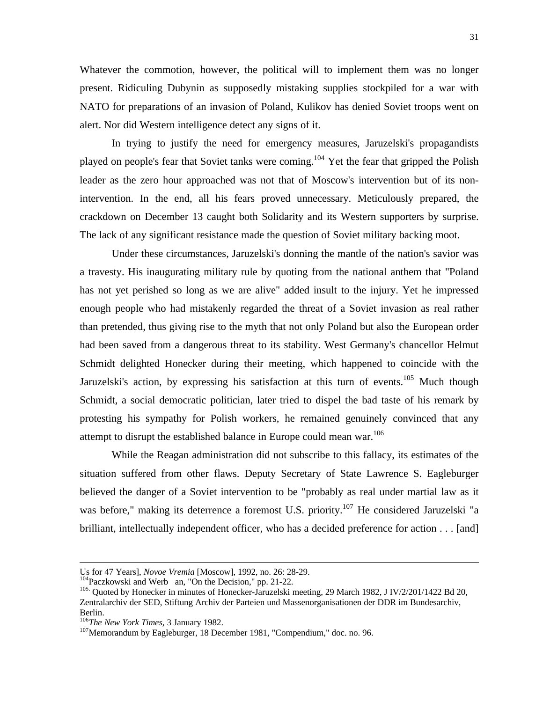Whatever the commotion, however, the political will to implement them was no longer present. Ridiculing Dubynin as supposedly mistaking supplies stockpiled for a war with NATO for preparations of an invasion of Poland, Kulikov has denied Soviet troops went on alert. Nor did Western intelligence detect any signs of it.

In trying to justify the need for emergency measures, Jaruzelski's propagandists played on people's fear that Soviet tanks were coming.<sup>104</sup> Yet the fear that gripped the Polish leader as the zero hour approached was not that of Moscow's intervention but of its nonintervention. In the end, all his fears proved unnecessary. Meticulously prepared, the crackdown on December 13 caught both Solidarity and its Western supporters by surprise. The lack of any significant resistance made the question of Soviet military backing moot.

Under these circumstances, Jaruzelski's donning the mantle of the nation's savior was a travesty. His inaugurating military rule by quoting from the national anthem that "Poland has not yet perished so long as we are alive" added insult to the injury. Yet he impressed enough people who had mistakenly regarded the threat of a Soviet invasion as real rather than pretended, thus giving rise to the myth that not only Poland but also the European order had been saved from a dangerous threat to its stability. West Germany's chancellor Helmut Schmidt delighted Honecker during their meeting, which happened to coincide with the Jaruzelski's action, by expressing his satisfaction at this turn of events.<sup>105</sup> Much though Schmidt, a social democratic politician, later tried to dispel the bad taste of his remark by protesting his sympathy for Polish workers, he remained genuinely convinced that any attempt to disrupt the established balance in Europe could mean war.<sup>106</sup>

While the Reagan administration did not subscribe to this fallacy, its estimates of the situation suffered from other flaws. Deputy Secretary of State Lawrence S. Eagleburger believed the danger of a Soviet intervention to be "probably as real under martial law as it was before," making its deterrence a foremost U.S. priority.<sup>107</sup> He considered Jaruzelski "a brilliant, intellectually independent officer, who has a decided preference for action . . . [and]

1

Us for 47 Years], *Novoe Vremia* [Moscow], 1992, no. 26: 28-29.

<sup>&</sup>lt;sup>104</sup>Paczkowski and Werb an, "On the Decision," pp. 21-22.

<sup>&</sup>lt;sup>105.</sup> Quoted by Honecker in minutes of Honecker-Jaruzelski meeting, 29 March 1982, J IV/2/201/1422 Bd 20, Zentralarchiv der SED, Stiftung Archiv der Parteien und Massenorganisationen der DDR im Bundesarchiv, Berlin.

<sup>106</sup>*The New York Times*, 3 January 1982.

<sup>107</sup>Memorandum by Eagleburger, 18 December 1981, "Compendium," doc. no. 96.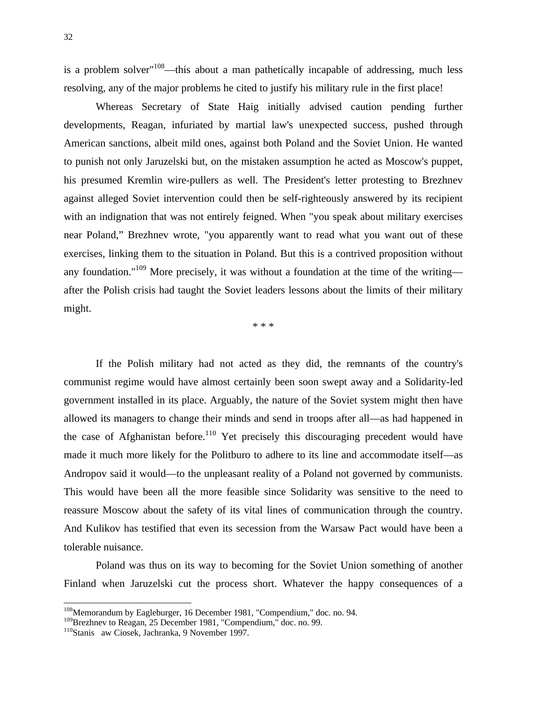is a problem solver  $108$ —this about a man pathetically incapable of addressing, much less resolving, any of the major problems he cited to justify his military rule in the first place!

Whereas Secretary of State Haig initially advised caution pending further developments, Reagan, infuriated by martial law's unexpected success, pushed through American sanctions, albeit mild ones, against both Poland and the Soviet Union. He wanted to punish not only Jaruzelski but, on the mistaken assumption he acted as Moscow's puppet, his presumed Kremlin wire-pullers as well. The President's letter protesting to Brezhnev against alleged Soviet intervention could then be self-righteously answered by its recipient with an indignation that was not entirely feigned. When "you speak about military exercises near Poland," Brezhnev wrote, "you apparently want to read what you want out of these exercises, linking them to the situation in Poland. But this is a contrived proposition without any foundation."<sup>109</sup> More precisely, it was without a foundation at the time of the writing after the Polish crisis had taught the Soviet leaders lessons about the limits of their military might.

\* \* \*

If the Polish military had not acted as they did, the remnants of the country's communist regime would have almost certainly been soon swept away and a Solidarity-led government installed in its place. Arguably, the nature of the Soviet system might then have allowed its managers to change their minds and send in troops after all—as had happened in the case of Afghanistan before.<sup>110</sup> Yet precisely this discouraging precedent would have made it much more likely for the Politburo to adhere to its line and accommodate itself—as Andropov said it would—to the unpleasant reality of a Poland not governed by communists. This would have been all the more feasible since Solidarity was sensitive to the need to reassure Moscow about the safety of its vital lines of communication through the country. And Kulikov has testified that even its secession from the Warsaw Pact would have been a tolerable nuisance.

Poland was thus on its way to becoming for the Soviet Union something of another Finland when Jaruzelski cut the process short. Whatever the happy consequences of a

<sup>108</sup>Memorandum by Eagleburger, 16 December 1981, "Compendium," doc. no. 94.

<sup>109</sup>Brezhnev to Reagan, 25 December 1981, "Compendium," doc. no. 99.

<sup>&</sup>lt;sup>110</sup>Stanis aw Ciosek, Jachranka, 9 November 1997.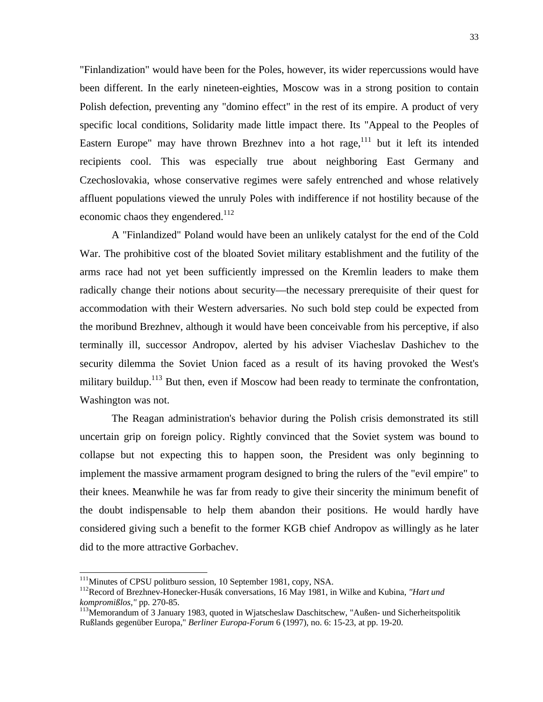"Finlandization" would have been for the Poles, however, its wider repercussions would have been different. In the early nineteen-eighties, Moscow was in a strong position to contain Polish defection, preventing any "domino effect" in the rest of its empire. A product of very specific local conditions, Solidarity made little impact there. Its "Appeal to the Peoples of Eastern Europe" may have thrown Brezhnev into a hot rage,  $111$  but it left its intended recipients cool. This was especially true about neighboring East Germany and Czechoslovakia, whose conservative regimes were safely entrenched and whose relatively affluent populations viewed the unruly Poles with indifference if not hostility because of the economic chaos they engendered.<sup>112</sup>

A "Finlandized" Poland would have been an unlikely catalyst for the end of the Cold War. The prohibitive cost of the bloated Soviet military establishment and the futility of the arms race had not yet been sufficiently impressed on the Kremlin leaders to make them radically change their notions about security—the necessary prerequisite of their quest for accommodation with their Western adversaries. No such bold step could be expected from the moribund Brezhnev, although it would have been conceivable from his perceptive, if also terminally ill, successor Andropov, alerted by his adviser Viacheslav Dashichev to the security dilemma the Soviet Union faced as a result of its having provoked the West's military buildup.<sup>113</sup> But then, even if Moscow had been ready to terminate the confrontation, Washington was not.

The Reagan administration's behavior during the Polish crisis demonstrated its still uncertain grip on foreign policy. Rightly convinced that the Soviet system was bound to collapse but not expecting this to happen soon, the President was only beginning to implement the massive armament program designed to bring the rulers of the "evil empire" to their knees. Meanwhile he was far from ready to give their sincerity the minimum benefit of the doubt indispensable to help them abandon their positions. He would hardly have considered giving such a benefit to the former KGB chief Andropov as willingly as he later did to the more attractive Gorbachev.

 $111$ Minutes of CPSU politburo session, 10 September 1981, copy, NSA.

<sup>112</sup>Record of Brezhnev-Honecker-Husák conversations, 16 May 1981, in Wilke and Kubina, *"Hart und kompromißlos,"* pp. 270-85.

<sup>&</sup>lt;sup>113</sup>Memorandum of 3 January 1983, quoted in Wjatscheslaw Daschitschew, "Außen- und Sicherheitspolitik Rußlands gegenüber Europa," *Berliner Europa-Forum* 6 (1997), no. 6: 15-23, at pp. 19-20.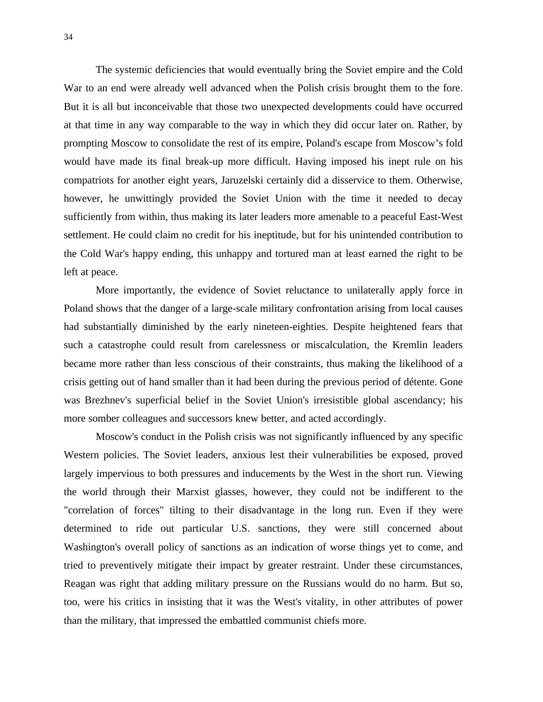The systemic deficiencies that would eventually bring the Soviet empire and the Cold War to an end were already well advanced when the Polish crisis brought them to the fore. But it is all but inconceivable that those two unexpected developments could have occurred at that time in any way comparable to the way in which they did occur later on. Rather, by prompting Moscow to consolidate the rest of its empire, Poland's escape from Moscow's fold would have made its final break-up more difficult. Having imposed his inept rule on his compatriots for another eight years, Jaruzelski certainly did a disservice to them. Otherwise, however, he unwittingly provided the Soviet Union with the time it needed to decay sufficiently from within, thus making its later leaders more amenable to a peaceful East-West settlement. He could claim no credit for his ineptitude, but for his unintended contribution to the Cold War's happy ending, this unhappy and tortured man at least earned the right to be left at peace.

More importantly, the evidence of Soviet reluctance to unilaterally apply force in Poland shows that the danger of a large-scale military confrontation arising from local causes had substantially diminished by the early nineteen-eighties. Despite heightened fears that such a catastrophe could result from carelessness or miscalculation, the Kremlin leaders became more rather than less conscious of their constraints, thus making the likelihood of a crisis getting out of hand smaller than it had been during the previous period of détente. Gone was Brezhnev's superficial belief in the Soviet Union's irresistible global ascendancy; his more somber colleagues and successors knew better, and acted accordingly.

Moscow's conduct in the Polish crisis was not significantly influenced by any specific Western policies. The Soviet leaders, anxious lest their vulnerabilities be exposed, proved largely impervious to both pressures and inducements by the West in the short run. Viewing the world through their Marxist glasses, however, they could not be indifferent to the "correlation of forces" tilting to their disadvantage in the long run. Even if they were determined to ride out particular U.S. sanctions, they were still concerned about Washington's overall policy of sanctions as an indication of worse things yet to come, and tried to preventively mitigate their impact by greater restraint. Under these circumstances, Reagan was right that adding military pressure on the Russians would do no harm. But so, too, were his critics in insisting that it was the West's vitality, in other attributes of power than the military, that impressed the embattled communist chiefs more.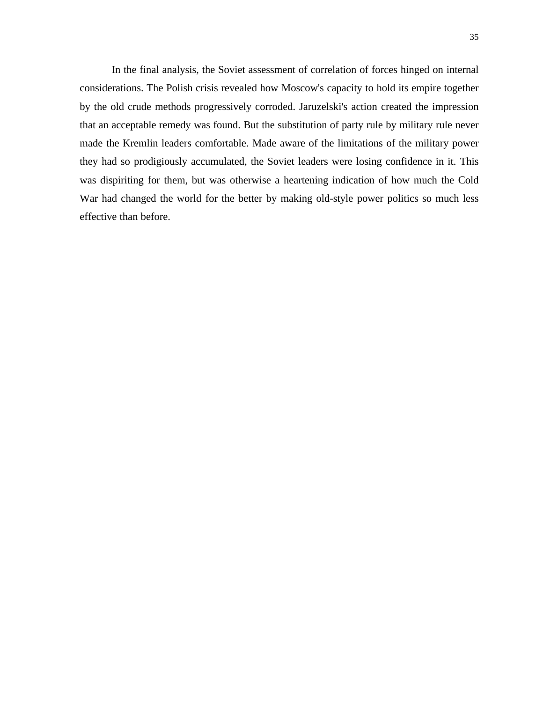In the final analysis, the Soviet assessment of correlation of forces hinged on internal considerations. The Polish crisis revealed how Moscow's capacity to hold its empire together by the old crude methods progressively corroded. Jaruzelski's action created the impression that an acceptable remedy was found. But the substitution of party rule by military rule never made the Kremlin leaders comfortable. Made aware of the limitations of the military power they had so prodigiously accumulated, the Soviet leaders were losing confidence in it. This was dispiriting for them, but was otherwise a heartening indication of how much the Cold War had changed the world for the better by making old-style power politics so much less effective than before.